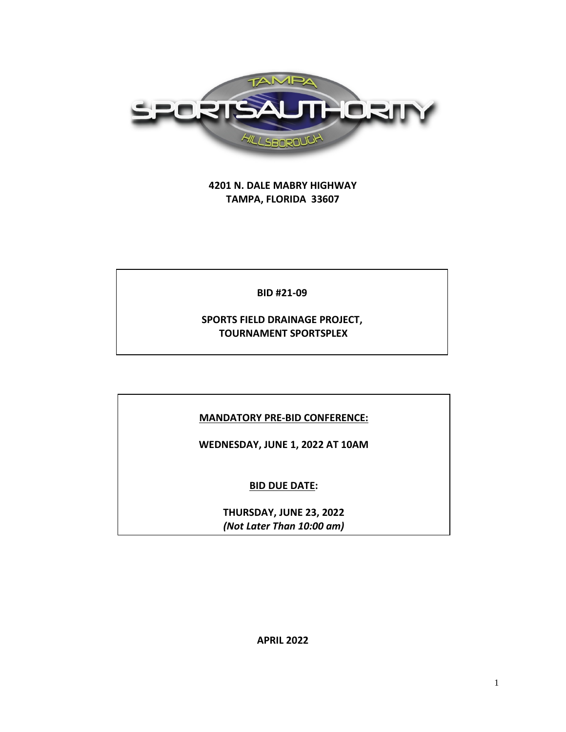

**4201 N. DALE MABRY HIGHWAY TAMPA, FLORIDA 33607**

**BID #21-09**

**SPORTS FIELD DRAINAGE PROJECT, TOURNAMENT SPORTSPLEX**

# **MANDATORY PRE-BID CONFERENCE:**

**WEDNESDAY, JUNE 1, 2022 AT 10AM**

**BID DUE DATE:**

**THURSDAY, JUNE 23, 2022** *(Not Later Than 10:00 am)*

**APRIL 2022**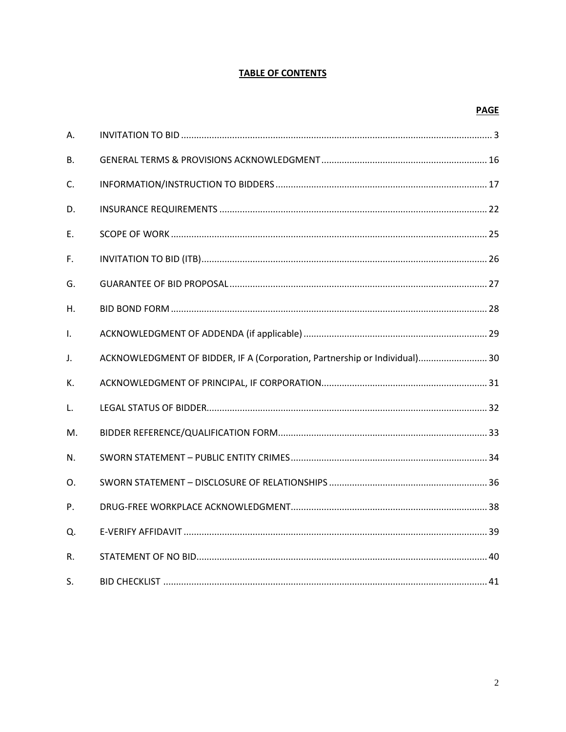# **TABLE OF CONTENTS**

| А.           |                                                                            |
|--------------|----------------------------------------------------------------------------|
| В.           |                                                                            |
| C.           |                                                                            |
| D.           |                                                                            |
| Е.           |                                                                            |
| F.           |                                                                            |
| G.           |                                                                            |
| Η.           |                                                                            |
| $\mathsf{L}$ |                                                                            |
| J.           | ACKNOWLEDGMENT OF BIDDER, IF A (Corporation, Partnership or Individual) 30 |
| К.           |                                                                            |
| L.           |                                                                            |
| М.           |                                                                            |
| N.           |                                                                            |
| O.           |                                                                            |
| P.           |                                                                            |
| Q.           |                                                                            |
| R.           |                                                                            |
| S.           |                                                                            |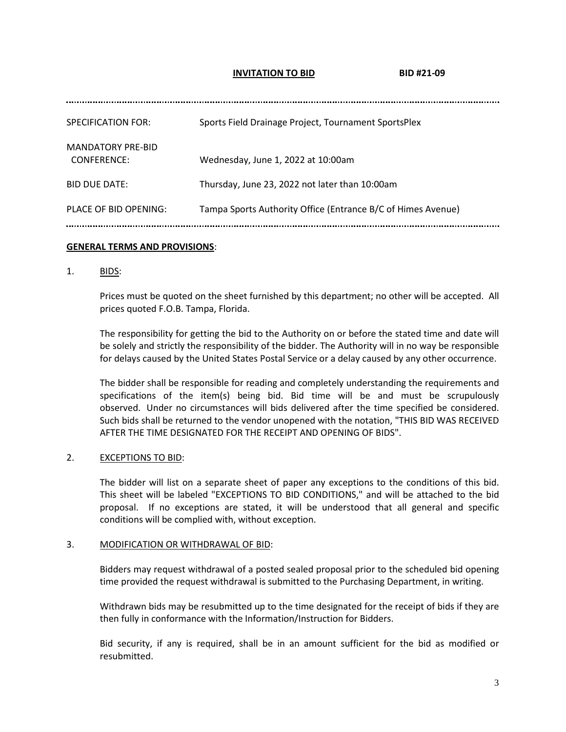## **INVITATION TO BID BID #21-09**

| SPECIFICATION FOR:               | Sports Field Drainage Project, Tournament SportsPlex         |
|----------------------------------|--------------------------------------------------------------|
| MANDATORY PRE-BID<br>CONFERENCE: | Wednesday, June 1, 2022 at 10:00am                           |
| RID DHF DATE:                    | Thursday, June 23, 2022 not later than 10:00am               |
| PLACE OF BID OPENING:            | Tampa Sports Authority Office (Entrance B/C of Himes Avenue) |
|                                  |                                                              |

#### **GENERAL TERMS AND PROVISIONS**:

1. BIDS:

Prices must be quoted on the sheet furnished by this department; no other will be accepted. All prices quoted F.O.B. Tampa, Florida.

The responsibility for getting the bid to the Authority on or before the stated time and date will be solely and strictly the responsibility of the bidder. The Authority will in no way be responsible for delays caused by the United States Postal Service or a delay caused by any other occurrence.

The bidder shall be responsible for reading and completely understanding the requirements and specifications of the item(s) being bid. Bid time will be and must be scrupulously observed. Under no circumstances will bids delivered after the time specified be considered. Such bids shall be returned to the vendor unopened with the notation, "THIS BID WAS RECEIVED AFTER THE TIME DESIGNATED FOR THE RECEIPT AND OPENING OF BIDS".

#### 2. EXCEPTIONS TO BID:

The bidder will list on a separate sheet of paper any exceptions to the conditions of this bid. This sheet will be labeled "EXCEPTIONS TO BID CONDITIONS," and will be attached to the bid proposal. If no exceptions are stated, it will be understood that all general and specific conditions will be complied with, without exception.

#### 3. MODIFICATION OR WITHDRAWAL OF BID:

Bidders may request withdrawal of a posted sealed proposal prior to the scheduled bid opening time provided the request withdrawal is submitted to the Purchasing Department, in writing.

Withdrawn bids may be resubmitted up to the time designated for the receipt of bids if they are then fully in conformance with the Information/Instruction for Bidders.

Bid security, if any is required, shall be in an amount sufficient for the bid as modified or resubmitted.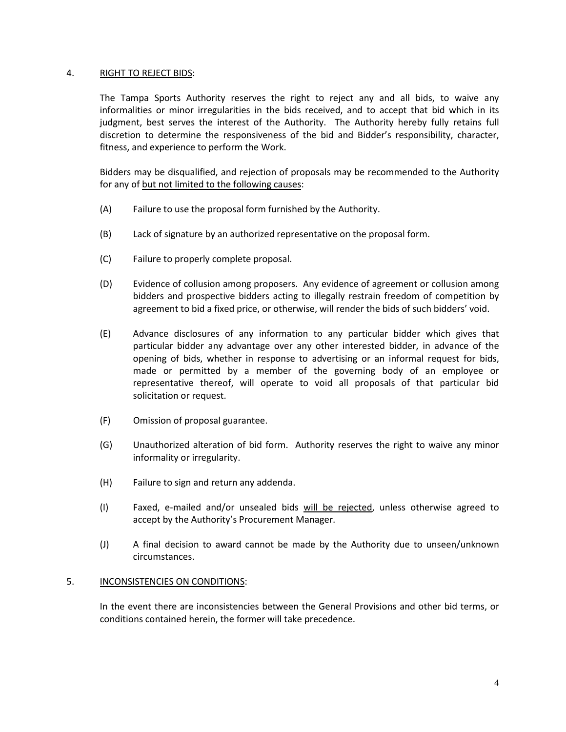#### 4. RIGHT TO REJECT BIDS:

The Tampa Sports Authority reserves the right to reject any and all bids, to waive any informalities or minor irregularities in the bids received, and to accept that bid which in its judgment, best serves the interest of the Authority. The Authority hereby fully retains full discretion to determine the responsiveness of the bid and Bidder's responsibility, character, fitness, and experience to perform the Work.

Bidders may be disqualified, and rejection of proposals may be recommended to the Authority for any of but not limited to the following causes:

- (A) Failure to use the proposal form furnished by the Authority.
- (B) Lack of signature by an authorized representative on the proposal form.
- (C) Failure to properly complete proposal.
- (D) Evidence of collusion among proposers. Any evidence of agreement or collusion among bidders and prospective bidders acting to illegally restrain freedom of competition by agreement to bid a fixed price, or otherwise, will render the bids of such bidders' void.
- (E) Advance disclosures of any information to any particular bidder which gives that particular bidder any advantage over any other interested bidder, in advance of the opening of bids, whether in response to advertising or an informal request for bids, made or permitted by a member of the governing body of an employee or representative thereof, will operate to void all proposals of that particular bid solicitation or request.
- (F) Omission of proposal guarantee.
- (G) Unauthorized alteration of bid form. Authority reserves the right to waive any minor informality or irregularity.
- (H) Failure to sign and return any addenda.
- (I) Faxed, e-mailed and/or unsealed bids will be rejected, unless otherwise agreed to accept by the Authority's Procurement Manager.
- (J) A final decision to award cannot be made by the Authority due to unseen/unknown circumstances.

## 5. INCONSISTENCIES ON CONDITIONS:

In the event there are inconsistencies between the General Provisions and other bid terms, or conditions contained herein, the former will take precedence.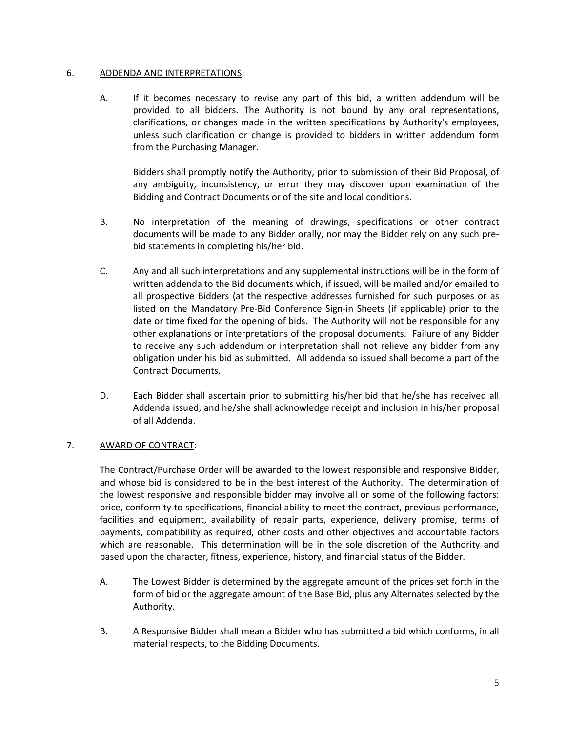# 6. ADDENDA AND INTERPRETATIONS:

A. If it becomes necessary to revise any part of this bid, a written addendum will be provided to all bidders. The Authority is not bound by any oral representations, clarifications, or changes made in the written specifications by Authority's employees, unless such clarification or change is provided to bidders in written addendum form from the Purchasing Manager.

Bidders shall promptly notify the Authority, prior to submission of their Bid Proposal, of any ambiguity, inconsistency, or error they may discover upon examination of the Bidding and Contract Documents or of the site and local conditions.

- B. No interpretation of the meaning of drawings, specifications or other contract documents will be made to any Bidder orally, nor may the Bidder rely on any such prebid statements in completing his/her bid.
- C. Any and all such interpretations and any supplemental instructions will be in the form of written addenda to the Bid documents which, if issued, will be mailed and/or emailed to all prospective Bidders (at the respective addresses furnished for such purposes or as listed on the Mandatory Pre-Bid Conference Sign-in Sheets (if applicable) prior to the date or time fixed for the opening of bids. The Authority will not be responsible for any other explanations or interpretations of the proposal documents. Failure of any Bidder to receive any such addendum or interpretation shall not relieve any bidder from any obligation under his bid as submitted. All addenda so issued shall become a part of the Contract Documents.
- D. Each Bidder shall ascertain prior to submitting his/her bid that he/she has received all Addenda issued, and he/she shall acknowledge receipt and inclusion in his/her proposal of all Addenda.

# 7. AWARD OF CONTRACT:

The Contract/Purchase Order will be awarded to the lowest responsible and responsive Bidder, and whose bid is considered to be in the best interest of the Authority. The determination of the lowest responsive and responsible bidder may involve all or some of the following factors: price, conformity to specifications, financial ability to meet the contract, previous performance, facilities and equipment, availability of repair parts, experience, delivery promise, terms of payments, compatibility as required, other costs and other objectives and accountable factors which are reasonable. This determination will be in the sole discretion of the Authority and based upon the character, fitness, experience, history, and financial status of the Bidder.

- A. The Lowest Bidder is determined by the aggregate amount of the prices set forth in the form of bid or the aggregate amount of the Base Bid, plus any Alternates selected by the Authority.
- B. A Responsive Bidder shall mean a Bidder who has submitted a bid which conforms, in all material respects, to the Bidding Documents.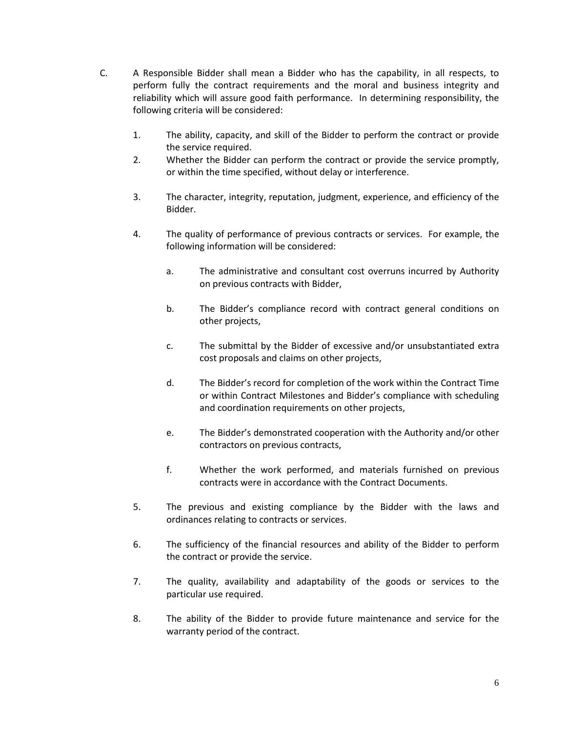- C. A Responsible Bidder shall mean a Bidder who has the capability, in all respects, to perform fully the contract requirements and the moral and business integrity and reliability which will assure good faith performance. In determining responsibility, the following criteria will be considered:
	- 1. The ability, capacity, and skill of the Bidder to perform the contract or provide the service required.
	- 2. Whether the Bidder can perform the contract or provide the service promptly, or within the time specified, without delay or interference.
	- 3. The character, integrity, reputation, judgment, experience, and efficiency of the Bidder.
	- 4. The quality of performance of previous contracts or services. For example, the following information will be considered:
		- a. The administrative and consultant cost overruns incurred by Authority on previous contracts with Bidder,
		- b. The Bidder's compliance record with contract general conditions on other projects,
		- c. The submittal by the Bidder of excessive and/or unsubstantiated extra cost proposals and claims on other projects,
		- d. The Bidder's record for completion of the work within the Contract Time or within Contract Milestones and Bidder's compliance with scheduling and coordination requirements on other projects,
		- e. The Bidder's demonstrated cooperation with the Authority and/or other contractors on previous contracts,
		- f. Whether the work performed, and materials furnished on previous contracts were in accordance with the Contract Documents.
	- 5. The previous and existing compliance by the Bidder with the laws and ordinances relating to contracts or services.
	- 6. The sufficiency of the financial resources and ability of the Bidder to perform the contract or provide the service.
	- 7. The quality, availability and adaptability of the goods or services to the particular use required.
	- 8. The ability of the Bidder to provide future maintenance and service for the warranty period of the contract.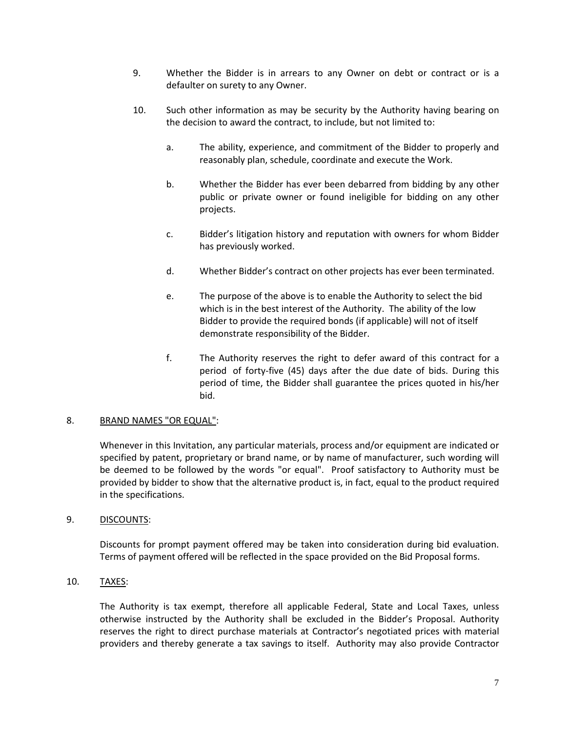- 9. Whether the Bidder is in arrears to any Owner on debt or contract or is a defaulter on surety to any Owner.
- 10. Such other information as may be security by the Authority having bearing on the decision to award the contract, to include, but not limited to:
	- a. The ability, experience, and commitment of the Bidder to properly and reasonably plan, schedule, coordinate and execute the Work.
	- b. Whether the Bidder has ever been debarred from bidding by any other public or private owner or found ineligible for bidding on any other projects.
	- c. Bidder's litigation history and reputation with owners for whom Bidder has previously worked.
	- d. Whether Bidder's contract on other projects has ever been terminated.
	- e. The purpose of the above is to enable the Authority to select the bid which is in the best interest of the Authority. The ability of the low Bidder to provide the required bonds (if applicable) will not of itself demonstrate responsibility of the Bidder.
	- f. The Authority reserves the right to defer award of this contract for a period of forty-five (45) days after the due date of bids. During this period of time, the Bidder shall guarantee the prices quoted in his/her bid.

## 8. BRAND NAMES "OR EQUAL":

Whenever in this Invitation, any particular materials, process and/or equipment are indicated or specified by patent, proprietary or brand name, or by name of manufacturer, such wording will be deemed to be followed by the words "or equal". Proof satisfactory to Authority must be provided by bidder to show that the alternative product is, in fact, equal to the product required in the specifications.

## 9. DISCOUNTS:

Discounts for prompt payment offered may be taken into consideration during bid evaluation. Terms of payment offered will be reflected in the space provided on the Bid Proposal forms.

10. TAXES:

The Authority is tax exempt, therefore all applicable Federal, State and Local Taxes, unless otherwise instructed by the Authority shall be excluded in the Bidder's Proposal. Authority reserves the right to direct purchase materials at Contractor's negotiated prices with material providers and thereby generate a tax savings to itself. Authority may also provide Contractor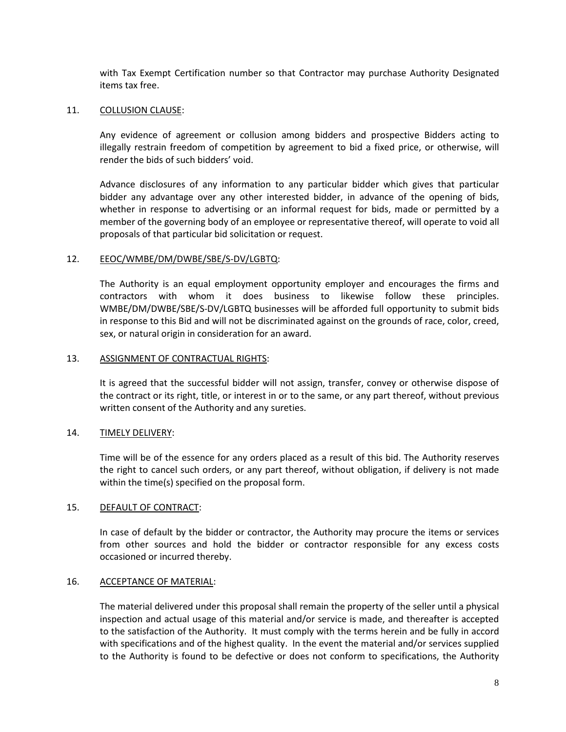with Tax Exempt Certification number so that Contractor may purchase Authority Designated items tax free.

#### 11. COLLUSION CLAUSE:

Any evidence of agreement or collusion among bidders and prospective Bidders acting to illegally restrain freedom of competition by agreement to bid a fixed price, or otherwise, will render the bids of such bidders' void.

Advance disclosures of any information to any particular bidder which gives that particular bidder any advantage over any other interested bidder, in advance of the opening of bids, whether in response to advertising or an informal request for bids, made or permitted by a member of the governing body of an employee or representative thereof, will operate to void all proposals of that particular bid solicitation or request.

## 12. EEOC/WMBE/DM/DWBE/SBE/S-DV/LGBTQ:

The Authority is an equal employment opportunity employer and encourages the firms and contractors with whom it does business to likewise follow these principles. WMBE/DM/DWBE/SBE/S-DV/LGBTQ businesses will be afforded full opportunity to submit bids in response to this Bid and will not be discriminated against on the grounds of race, color, creed, sex, or natural origin in consideration for an award.

#### 13. ASSIGNMENT OF CONTRACTUAL RIGHTS:

It is agreed that the successful bidder will not assign, transfer, convey or otherwise dispose of the contract or its right, title, or interest in or to the same, or any part thereof, without previous written consent of the Authority and any sureties.

## 14. TIMELY DELIVERY:

Time will be of the essence for any orders placed as a result of this bid. The Authority reserves the right to cancel such orders, or any part thereof, without obligation, if delivery is not made within the time(s) specified on the proposal form.

#### 15. DEFAULT OF CONTRACT:

In case of default by the bidder or contractor, the Authority may procure the items or services from other sources and hold the bidder or contractor responsible for any excess costs occasioned or incurred thereby.

#### 16. ACCEPTANCE OF MATERIAL:

The material delivered under this proposal shall remain the property of the seller until a physical inspection and actual usage of this material and/or service is made, and thereafter is accepted to the satisfaction of the Authority. It must comply with the terms herein and be fully in accord with specifications and of the highest quality. In the event the material and/or services supplied to the Authority is found to be defective or does not conform to specifications, the Authority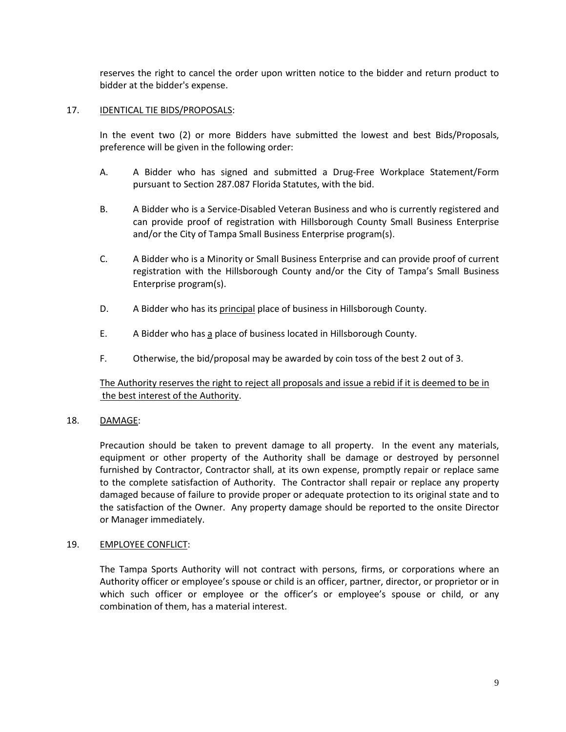reserves the right to cancel the order upon written notice to the bidder and return product to bidder at the bidder's expense.

## 17. IDENTICAL TIE BIDS/PROPOSALS:

In the event two (2) or more Bidders have submitted the lowest and best Bids/Proposals, preference will be given in the following order:

- A. A Bidder who has signed and submitted a Drug-Free Workplace Statement/Form pursuant to Section 287.087 Florida Statutes, with the bid.
- B. A Bidder who is a Service-Disabled Veteran Business and who is currently registered and can provide proof of registration with Hillsborough County Small Business Enterprise and/or the City of Tampa Small Business Enterprise program(s).
- C. A Bidder who is a Minority or Small Business Enterprise and can provide proof of current registration with the Hillsborough County and/or the City of Tampa's Small Business Enterprise program(s).
- D. A Bidder who has its principal place of business in Hillsborough County.
- E. A Bidder who has a place of business located in Hillsborough County.
- F. Otherwise, the bid/proposal may be awarded by coin toss of the best 2 out of 3.

# The Authority reserves the right to reject all proposals and issue a rebid if it is deemed to be in the best interest of the Authority.

## 18. DAMAGE:

Precaution should be taken to prevent damage to all property. In the event any materials, equipment or other property of the Authority shall be damage or destroyed by personnel furnished by Contractor, Contractor shall, at its own expense, promptly repair or replace same to the complete satisfaction of Authority. The Contractor shall repair or replace any property damaged because of failure to provide proper or adequate protection to its original state and to the satisfaction of the Owner. Any property damage should be reported to the onsite Director or Manager immediately.

## 19. EMPLOYEE CONFLICT:

The Tampa Sports Authority will not contract with persons, firms, or corporations where an Authority officer or employee's spouse or child is an officer, partner, director, or proprietor or in which such officer or employee or the officer's or employee's spouse or child, or any combination of them, has a material interest.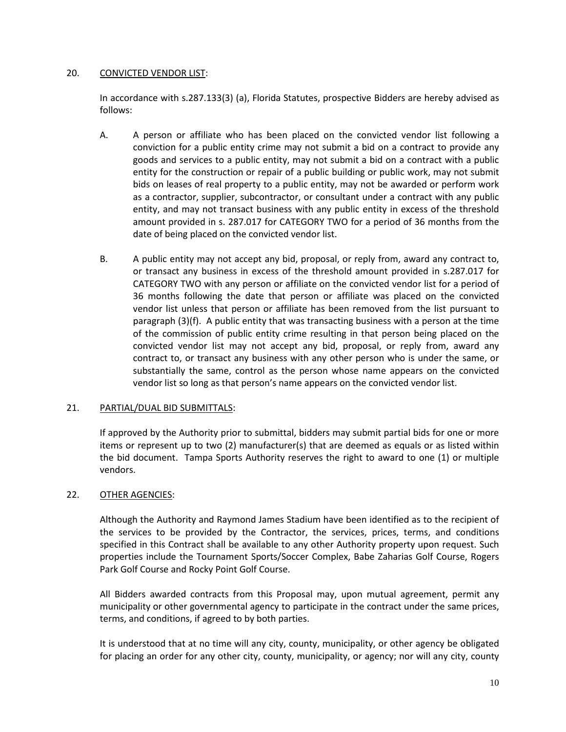#### 20. CONVICTED VENDOR LIST:

In accordance with s.287.133(3) (a), Florida Statutes, prospective Bidders are hereby advised as follows:

- A. A person or affiliate who has been placed on the convicted vendor list following a conviction for a public entity crime may not submit a bid on a contract to provide any goods and services to a public entity, may not submit a bid on a contract with a public entity for the construction or repair of a public building or public work, may not submit bids on leases of real property to a public entity, may not be awarded or perform work as a contractor, supplier, subcontractor, or consultant under a contract with any public entity, and may not transact business with any public entity in excess of the threshold amount provided in s. 287.017 for CATEGORY TWO for a period of 36 months from the date of being placed on the convicted vendor list.
- B. A public entity may not accept any bid, proposal, or reply from, award any contract to, or transact any business in excess of the threshold amount provided in s.287.017 for CATEGORY TWO with any person or affiliate on the convicted vendor list for a period of 36 months following the date that person or affiliate was placed on the convicted vendor list unless that person or affiliate has been removed from the list pursuant to paragraph (3)(f). A public entity that was transacting business with a person at the time of the commission of public entity crime resulting in that person being placed on the convicted vendor list may not accept any bid, proposal, or reply from, award any contract to, or transact any business with any other person who is under the same, or substantially the same, control as the person whose name appears on the convicted vendor list so long as that person's name appears on the convicted vendor list.

## 21. PARTIAL/DUAL BID SUBMITTALS:

If approved by the Authority prior to submittal, bidders may submit partial bids for one or more items or represent up to two (2) manufacturer(s) that are deemed as equals or as listed within the bid document. Tampa Sports Authority reserves the right to award to one (1) or multiple vendors.

## 22. OTHER AGENCIES:

Although the Authority and Raymond James Stadium have been identified as to the recipient of the services to be provided by the Contractor, the services, prices, terms, and conditions specified in this Contract shall be available to any other Authority property upon request. Such properties include the Tournament Sports/Soccer Complex, Babe Zaharias Golf Course, Rogers Park Golf Course and Rocky Point Golf Course.

All Bidders awarded contracts from this Proposal may, upon mutual agreement, permit any municipality or other governmental agency to participate in the contract under the same prices, terms, and conditions, if agreed to by both parties.

It is understood that at no time will any city, county, municipality, or other agency be obligated for placing an order for any other city, county, municipality, or agency; nor will any city, county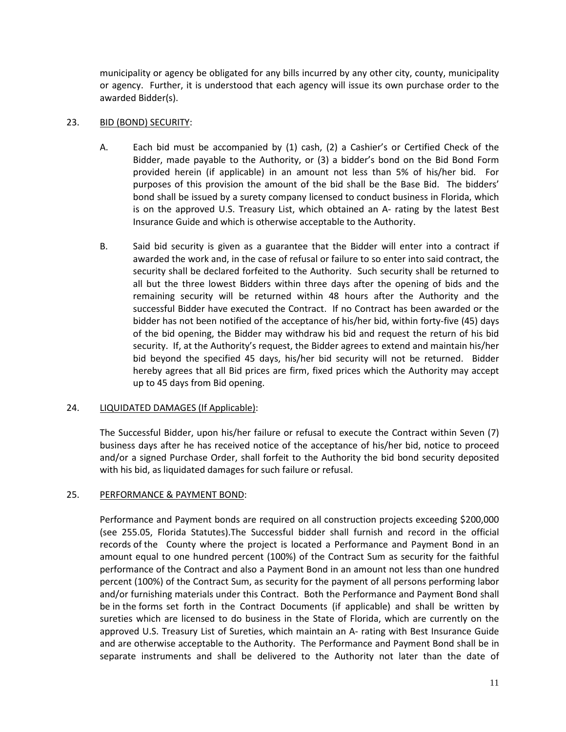municipality or agency be obligated for any bills incurred by any other city, county, municipality or agency. Further, it is understood that each agency will issue its own purchase order to the awarded Bidder(s).

# 23. BID (BOND) SECURITY:

- A. Each bid must be accompanied by (1) cash, (2) a Cashier's or Certified Check of the Bidder, made payable to the Authority, or (3) a bidder's bond on the Bid Bond Form provided herein (if applicable) in an amount not less than 5% of his/her bid. For purposes of this provision the amount of the bid shall be the Base Bid. The bidders' bond shall be issued by a surety company licensed to conduct business in Florida, which is on the approved U.S. Treasury List, which obtained an A- rating by the latest Best Insurance Guide and which is otherwise acceptable to the Authority.
- B. Said bid security is given as a guarantee that the Bidder will enter into a contract if awarded the work and, in the case of refusal or failure to so enter into said contract, the security shall be declared forfeited to the Authority. Such security shall be returned to all but the three lowest Bidders within three days after the opening of bids and the remaining security will be returned within 48 hours after the Authority and the successful Bidder have executed the Contract. If no Contract has been awarded or the bidder has not been notified of the acceptance of his/her bid, within forty-five (45) days of the bid opening, the Bidder may withdraw his bid and request the return of his bid security. If, at the Authority's request, the Bidder agrees to extend and maintain his/her bid beyond the specified 45 days, his/her bid security will not be returned. Bidder hereby agrees that all Bid prices are firm, fixed prices which the Authority may accept up to 45 days from Bid opening.

# 24. LIQUIDATED DAMAGES (If Applicable):

The Successful Bidder, upon his/her failure or refusal to execute the Contract within Seven (7) business days after he has received notice of the acceptance of his/her bid, notice to proceed and/or a signed Purchase Order, shall forfeit to the Authority the bid bond security deposited with his bid, as liquidated damages for such failure or refusal.

# 25. PERFORMANCE & PAYMENT BOND:

Performance and Payment bonds are required on all construction projects exceeding \$200,000 (see 255.05, Florida Statutes).The Successful bidder shall furnish and record in the official records of the County where the project is located a Performance and Payment Bond in an amount equal to one hundred percent (100%) of the Contract Sum as security for the faithful performance of the Contract and also a Payment Bond in an amount not less than one hundred percent (100%) of the Contract Sum, as security for the payment of all persons performing labor and/or furnishing materials under this Contract. Both the Performance and Payment Bond shall be in the forms set forth in the Contract Documents (if applicable) and shall be written by sureties which are licensed to do business in the State of Florida, which are currently on the approved U.S. Treasury List of Sureties, which maintain an A- rating with Best Insurance Guide and are otherwise acceptable to the Authority. The Performance and Payment Bond shall be in separate instruments and shall be delivered to the Authority not later than the date of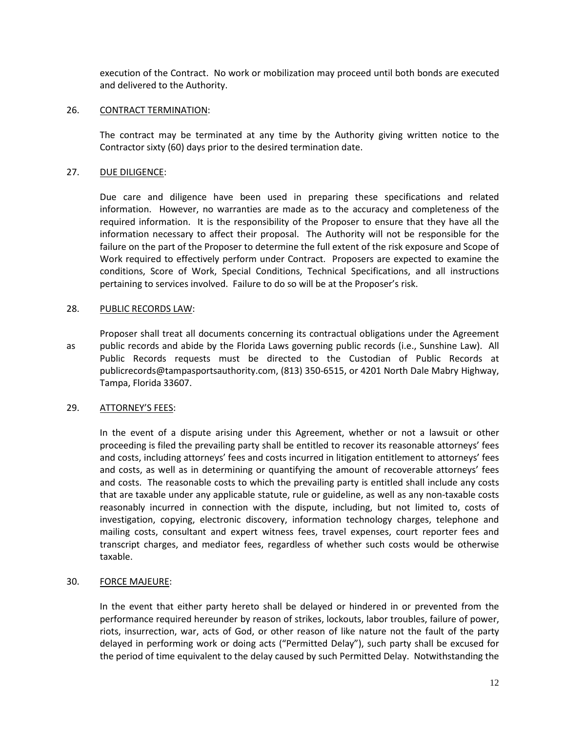execution of the Contract. No work or mobilization may proceed until both bonds are executed and delivered to the Authority.

#### 26. CONTRACT TERMINATION:

The contract may be terminated at any time by the Authority giving written notice to the Contractor sixty (60) days prior to the desired termination date.

## 27. DUE DILIGENCE:

Due care and diligence have been used in preparing these specifications and related information. However, no warranties are made as to the accuracy and completeness of the required information. It is the responsibility of the Proposer to ensure that they have all the information necessary to affect their proposal. The Authority will not be responsible for the failure on the part of the Proposer to determine the full extent of the risk exposure and Scope of Work required to effectively perform under Contract. Proposers are expected to examine the conditions, Score of Work, Special Conditions, Technical Specifications, and all instructions pertaining to services involved. Failure to do so will be at the Proposer's risk.

#### 28. PUBLIC RECORDS LAW:

Proposer shall treat all documents concerning its contractual obligations under the Agreement as public records and abide by the Florida Laws governing public records (i.e., Sunshine Law). All Public Records requests must be directed to the Custodian of Public Records at publicrecords@tampasportsauthority.com, (813) 350-6515, or 4201 North Dale Mabry Highway, Tampa, Florida 33607.

#### 29. ATTORNEY'S FEES:

In the event of a dispute arising under this Agreement, whether or not a lawsuit or other proceeding is filed the prevailing party shall be entitled to recover its reasonable attorneys' fees and costs, including attorneys' fees and costs incurred in litigation entitlement to attorneys' fees and costs, as well as in determining or quantifying the amount of recoverable attorneys' fees and costs. The reasonable costs to which the prevailing party is entitled shall include any costs that are taxable under any applicable statute, rule or guideline, as well as any non-taxable costs reasonably incurred in connection with the dispute, including, but not limited to, costs of investigation, copying, electronic discovery, information technology charges, telephone and mailing costs, consultant and expert witness fees, travel expenses, court reporter fees and transcript charges, and mediator fees, regardless of whether such costs would be otherwise taxable.

#### 30. FORCE MAJEURE:

In the event that either party hereto shall be delayed or hindered in or prevented from the performance required hereunder by reason of strikes, lockouts, labor troubles, failure of power, riots, insurrection, war, acts of God, or other reason of like nature not the fault of the party delayed in performing work or doing acts ("Permitted Delay"), such party shall be excused for the period of time equivalent to the delay caused by such Permitted Delay. Notwithstanding the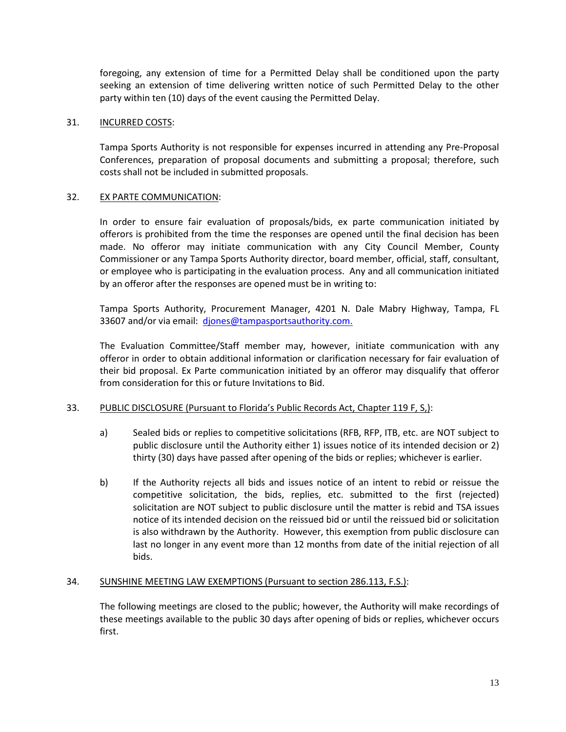foregoing, any extension of time for a Permitted Delay shall be conditioned upon the party seeking an extension of time delivering written notice of such Permitted Delay to the other party within ten (10) days of the event causing the Permitted Delay.

# 31. INCURRED COSTS:

Tampa Sports Authority is not responsible for expenses incurred in attending any Pre-Proposal Conferences, preparation of proposal documents and submitting a proposal; therefore, such costs shall not be included in submitted proposals.

#### 32. EX PARTE COMMUNICATION:

In order to ensure fair evaluation of proposals/bids, ex parte communication initiated by offerors is prohibited from the time the responses are opened until the final decision has been made. No offeror may initiate communication with any City Council Member, County Commissioner or any Tampa Sports Authority director, board member, official, staff, consultant, or employee who is participating in the evaluation process. Any and all communication initiated by an offeror after the responses are opened must be in writing to:

Tampa Sports Authority, Procurement Manager, 4201 N. Dale Mabry Highway, Tampa, FL 33607 and/or via email: [djones@tampasportsauthority.com.](mailto:djones@tampasportsauthority.com)

The Evaluation Committee/Staff member may, however, initiate communication with any offeror in order to obtain additional information or clarification necessary for fair evaluation of their bid proposal. Ex Parte communication initiated by an offeror may disqualify that offeror from consideration for this or future Invitations to Bid.

#### 33. PUBLIC DISCLOSURE (Pursuant to Florida's Public Records Act, Chapter 119 F, S,):

- a) Sealed bids or replies to competitive solicitations (RFB, RFP, ITB, etc. are NOT subject to public disclosure until the Authority either 1) issues notice of its intended decision or 2) thirty (30) days have passed after opening of the bids or replies; whichever is earlier.
- b) If the Authority rejects all bids and issues notice of an intent to rebid or reissue the competitive solicitation, the bids, replies, etc. submitted to the first (rejected) solicitation are NOT subject to public disclosure until the matter is rebid and TSA issues notice of its intended decision on the reissued bid or until the reissued bid or solicitation is also withdrawn by the Authority. However, this exemption from public disclosure can last no longer in any event more than 12 months from date of the initial rejection of all bids.

#### 34. SUNSHINE MEETING LAW EXEMPTIONS (Pursuant to section 286.113, F.S.):

The following meetings are closed to the public; however, the Authority will make recordings of these meetings available to the public 30 days after opening of bids or replies, whichever occurs first.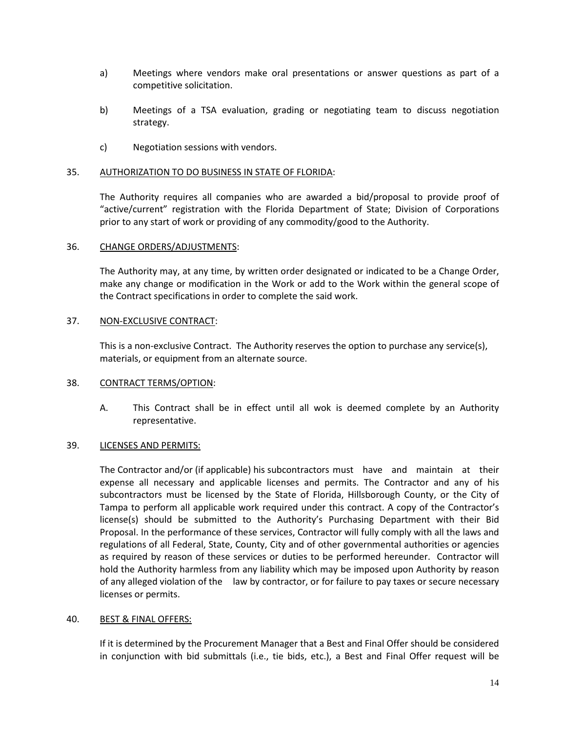- a) Meetings where vendors make oral presentations or answer questions as part of a competitive solicitation.
- b) Meetings of a TSA evaluation, grading or negotiating team to discuss negotiation strategy.
- c) Negotiation sessions with vendors.

#### 35. AUTHORIZATION TO DO BUSINESS IN STATE OF FLORIDA:

The Authority requires all companies who are awarded a bid/proposal to provide proof of "active/current" registration with the Florida Department of State; Division of Corporations prior to any start of work or providing of any commodity/good to the Authority.

#### 36. CHANGE ORDERS/ADJUSTMENTS:

The Authority may, at any time, by written order designated or indicated to be a Change Order, make any change or modification in the Work or add to the Work within the general scope of the Contract specifications in order to complete the said work.

#### 37. NON-EXCLUSIVE CONTRACT:

This is a non-exclusive Contract. The Authority reserves the option to purchase any service(s), materials, or equipment from an alternate source.

#### 38. CONTRACT TERMS/OPTION:

A. This Contract shall be in effect until all wok is deemed complete by an Authority representative.

## 39. LICENSES AND PERMITS:

The Contractor and/or (if applicable) his subcontractors must have and maintain at their expense all necessary and applicable licenses and permits. The Contractor and any of his subcontractors must be licensed by the State of Florida, Hillsborough County, or the City of Tampa to perform all applicable work required under this contract. A copy of the Contractor's license(s) should be submitted to the Authority's Purchasing Department with their Bid Proposal. In the performance of these services, Contractor will fully comply with all the laws and regulations of all Federal, State, County, City and of other governmental authorities or agencies as required by reason of these services or duties to be performed hereunder. Contractor will hold the Authority harmless from any liability which may be imposed upon Authority by reason of any alleged violation of the law by contractor, or for failure to pay taxes or secure necessary licenses or permits.

## 40. BEST & FINAL OFFERS:

If it is determined by the Procurement Manager that a Best and Final Offer should be considered in conjunction with bid submittals (i.e., tie bids, etc.), a Best and Final Offer request will be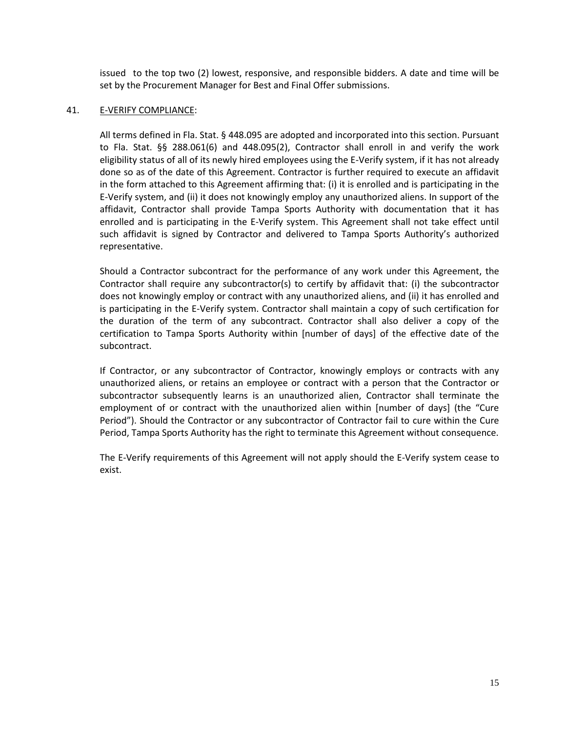issued to the top two (2) lowest, responsive, and responsible bidders. A date and time will be set by the Procurement Manager for Best and Final Offer submissions.

#### 41. E-VERIFY COMPLIANCE:

All terms defined in Fla. Stat. § 448.095 are adopted and incorporated into this section. Pursuant to Fla. Stat. §§ 288.061(6) and 448.095(2), Contractor shall enroll in and verify the work eligibility status of all of its newly hired employees using the E-Verify system, if it has not already done so as of the date of this Agreement. Contractor is further required to execute an affidavit in the form attached to this Agreement affirming that: (i) it is enrolled and is participating in the E-Verify system, and (ii) it does not knowingly employ any unauthorized aliens. In support of the affidavit, Contractor shall provide Tampa Sports Authority with documentation that it has enrolled and is participating in the E-Verify system. This Agreement shall not take effect until such affidavit is signed by Contractor and delivered to Tampa Sports Authority's authorized representative.

Should a Contractor subcontract for the performance of any work under this Agreement, the Contractor shall require any subcontractor(s) to certify by affidavit that: (i) the subcontractor does not knowingly employ or contract with any unauthorized aliens, and (ii) it has enrolled and is participating in the E-Verify system. Contractor shall maintain a copy of such certification for the duration of the term of any subcontract. Contractor shall also deliver a copy of the certification to Tampa Sports Authority within [number of days] of the effective date of the subcontract.

If Contractor, or any subcontractor of Contractor, knowingly employs or contracts with any unauthorized aliens, or retains an employee or contract with a person that the Contractor or subcontractor subsequently learns is an unauthorized alien, Contractor shall terminate the employment of or contract with the unauthorized alien within [number of days] (the "Cure Period"). Should the Contractor or any subcontractor of Contractor fail to cure within the Cure Period, Tampa Sports Authority has the right to terminate this Agreement without consequence.

The E-Verify requirements of this Agreement will not apply should the E-Verify system cease to exist.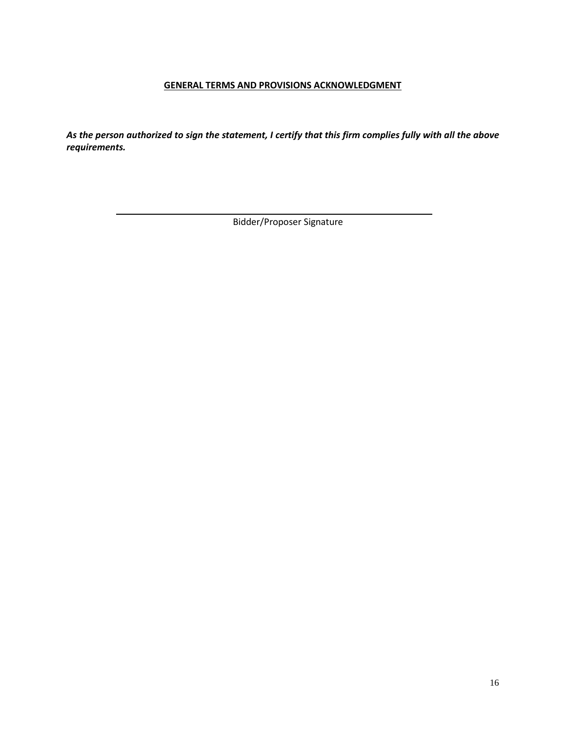# **GENERAL TERMS AND PROVISIONS ACKNOWLEDGMENT**

*As the person authorized to sign the statement, I certify that this firm complies fully with all the above requirements.*

Bidder/Proposer Signature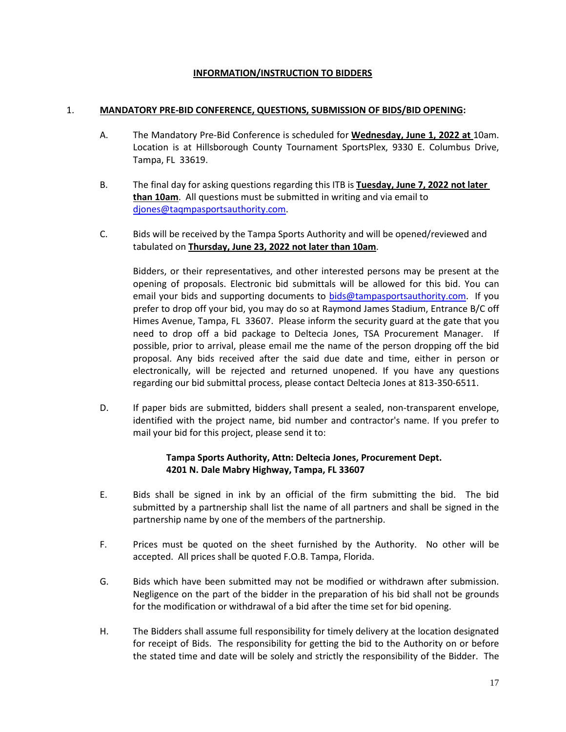# **INFORMATION/INSTRUCTION TO BIDDERS**

## 1. **MANDATORY PRE-BID CONFERENCE, QUESTIONS, SUBMISSION OF BIDS/BID OPENING:**

- A. The Mandatory Pre-Bid Conference is scheduled for **Wednesday, June 1, 2022 at** 10am. Location is at Hillsborough County Tournament SportsPlex, 9330 E. Columbus Drive, Tampa, FL 33619.
- B. The final day for asking questions regarding this ITB is **Tuesday, June 7, 2022 not later than 10am**. All questions must be submitted in writing and via email to [djones@taqmpasportsauthority.com.](mailto:djones@taqmpasportsauthority.com)
- C. Bids will be received by the Tampa Sports Authority and will be opened/reviewed and tabulated on **Thursday, June 23, 2022 not later than 10am**.

Bidders, or their representatives, and other interested persons may be present at the opening of proposals. Electronic bid submittals will be allowed for this bid. You can email your bids and supporting documents to [bids@tampasportsauthority.com.](mailto:bids@tampasportsauthority.com) If you prefer to drop off your bid, you may do so at Raymond James Stadium, Entrance B/C off Himes Avenue, Tampa, FL 33607. Please inform the security guard at the gate that you need to drop off a bid package to Deltecia Jones, TSA Procurement Manager. If possible, prior to arrival, please email me the name of the person dropping off the bid proposal. Any bids received after the said due date and time, either in person or electronically, will be rejected and returned unopened. If you have any questions regarding our bid submittal process, please contact Deltecia Jones at 813-350-6511.

D. If paper bids are submitted, bidders shall present a sealed, non-transparent envelope, identified with the project name, bid number and contractor's name. If you prefer to mail your bid for this project, please send it to:

# **Tampa Sports Authority, Attn: Deltecia Jones, Procurement Dept. 4201 N. Dale Mabry Highway, Tampa, FL 33607**

- E. Bids shall be signed in ink by an official of the firm submitting the bid. The bid submitted by a partnership shall list the name of all partners and shall be signed in the partnership name by one of the members of the partnership.
- F. Prices must be quoted on the sheet furnished by the Authority. No other will be accepted. All prices shall be quoted F.O.B. Tampa, Florida.
- G. Bids which have been submitted may not be modified or withdrawn after submission. Negligence on the part of the bidder in the preparation of his bid shall not be grounds for the modification or withdrawal of a bid after the time set for bid opening.
- H. The Bidders shall assume full responsibility for timely delivery at the location designated for receipt of Bids. The responsibility for getting the bid to the Authority on or before the stated time and date will be solely and strictly the responsibility of the Bidder. The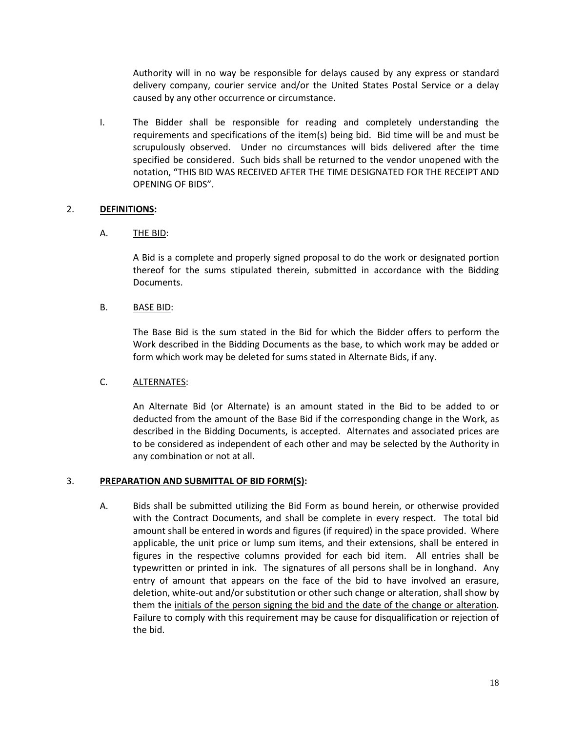Authority will in no way be responsible for delays caused by any express or standard delivery company, courier service and/or the United States Postal Service or a delay caused by any other occurrence or circumstance.

I. The Bidder shall be responsible for reading and completely understanding the requirements and specifications of the item(s) being bid. Bid time will be and must be scrupulously observed. Under no circumstances will bids delivered after the time specified be considered. Such bids shall be returned to the vendor unopened with the notation, "THIS BID WAS RECEIVED AFTER THE TIME DESIGNATED FOR THE RECEIPT AND OPENING OF BIDS".

## 2. **DEFINITIONS:**

## A. THE BID:

A Bid is a complete and properly signed proposal to do the work or designated portion thereof for the sums stipulated therein, submitted in accordance with the Bidding Documents.

#### B. BASE BID:

The Base Bid is the sum stated in the Bid for which the Bidder offers to perform the Work described in the Bidding Documents as the base, to which work may be added or form which work may be deleted for sums stated in Alternate Bids, if any.

#### C. ALTERNATES:

An Alternate Bid (or Alternate) is an amount stated in the Bid to be added to or deducted from the amount of the Base Bid if the corresponding change in the Work, as described in the Bidding Documents, is accepted. Alternates and associated prices are to be considered as independent of each other and may be selected by the Authority in any combination or not at all.

#### 3. **PREPARATION AND SUBMITTAL OF BID FORM(S):**

A. Bids shall be submitted utilizing the Bid Form as bound herein, or otherwise provided with the Contract Documents, and shall be complete in every respect. The total bid amount shall be entered in words and figures (if required) in the space provided. Where applicable, the unit price or lump sum items, and their extensions, shall be entered in figures in the respective columns provided for each bid item. All entries shall be typewritten or printed in ink. The signatures of all persons shall be in longhand. Any entry of amount that appears on the face of the bid to have involved an erasure, deletion, white-out and/or substitution or other such change or alteration, shall show by them the initials of the person signing the bid and the date of the change or alteration. Failure to comply with this requirement may be cause for disqualification or rejection of the bid.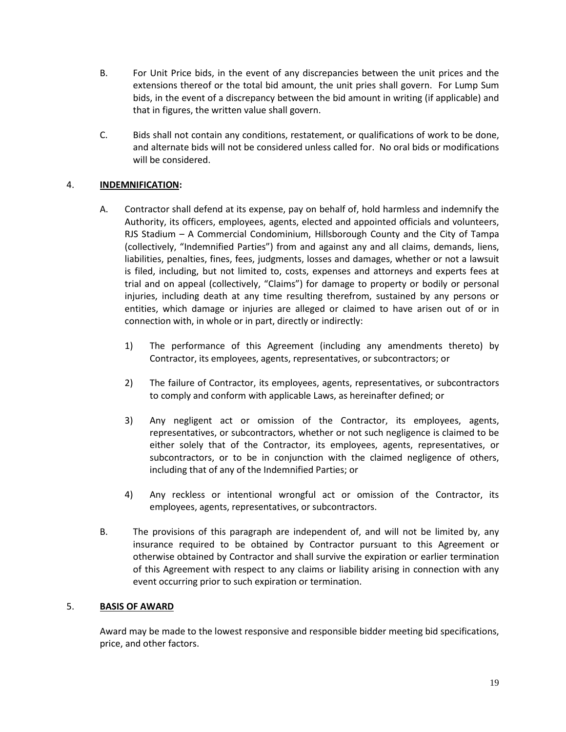- B. For Unit Price bids, in the event of any discrepancies between the unit prices and the extensions thereof or the total bid amount, the unit pries shall govern. For Lump Sum bids, in the event of a discrepancy between the bid amount in writing (if applicable) and that in figures, the written value shall govern.
- C. Bids shall not contain any conditions, restatement, or qualifications of work to be done, and alternate bids will not be considered unless called for. No oral bids or modifications will be considered.

# 4. **INDEMNIFICATION:**

- A. Contractor shall defend at its expense, pay on behalf of, hold harmless and indemnify the Authority, its officers, employees, agents, elected and appointed officials and volunteers, RJS Stadium – A Commercial Condominium, Hillsborough County and the City of Tampa (collectively, "Indemnified Parties") from and against any and all claims, demands, liens, liabilities, penalties, fines, fees, judgments, losses and damages, whether or not a lawsuit is filed, including, but not limited to, costs, expenses and attorneys and experts fees at trial and on appeal (collectively, "Claims") for damage to property or bodily or personal injuries, including death at any time resulting therefrom, sustained by any persons or entities, which damage or injuries are alleged or claimed to have arisen out of or in connection with, in whole or in part, directly or indirectly:
	- 1) The performance of this Agreement (including any amendments thereto) by Contractor, its employees, agents, representatives, or subcontractors; or
	- 2) The failure of Contractor, its employees, agents, representatives, or subcontractors to comply and conform with applicable Laws, as hereinafter defined; or
	- 3) Any negligent act or omission of the Contractor, its employees, agents, representatives, or subcontractors, whether or not such negligence is claimed to be either solely that of the Contractor, its employees, agents, representatives, or subcontractors, or to be in conjunction with the claimed negligence of others, including that of any of the Indemnified Parties; or
	- 4) Any reckless or intentional wrongful act or omission of the Contractor, its employees, agents, representatives, or subcontractors.
- B. The provisions of this paragraph are independent of, and will not be limited by, any insurance required to be obtained by Contractor pursuant to this Agreement or otherwise obtained by Contractor and shall survive the expiration or earlier termination of this Agreement with respect to any claims or liability arising in connection with any event occurring prior to such expiration or termination.

## 5. **BASIS OF AWARD**

Award may be made to the lowest responsive and responsible bidder meeting bid specifications, price, and other factors.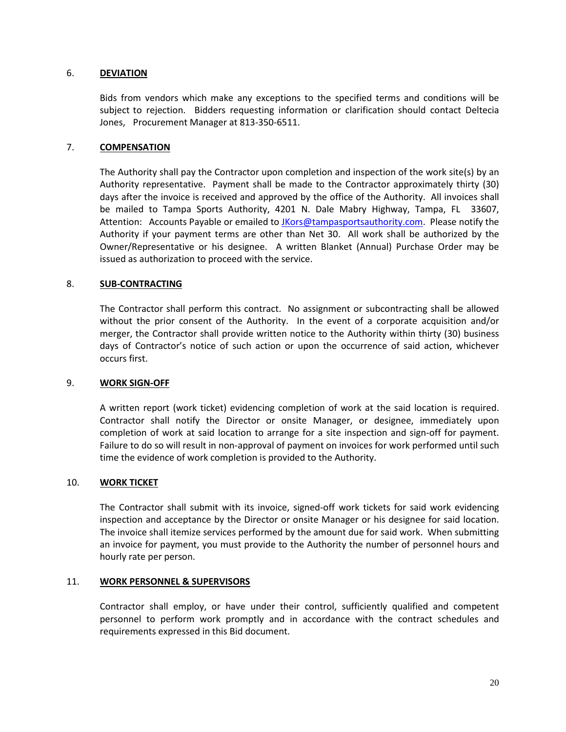#### 6. **DEVIATION**

Bids from vendors which make any exceptions to the specified terms and conditions will be subject to rejection. Bidders requesting information or clarification should contact Deltecia Jones, Procurement Manager at 813-350-6511.

#### 7. **COMPENSATION**

The Authority shall pay the Contractor upon completion and inspection of the work site(s) by an Authority representative. Payment shall be made to the Contractor approximately thirty (30) days after the invoice is received and approved by the office of the Authority. All invoices shall be mailed to Tampa Sports Authority, 4201 N. Dale Mabry Highway, Tampa, FL 33607, Attention: Accounts Payable or emailed t[o JKors@tampasportsauthority.com.](mailto:JKors@tampasportsauthority.com) Please notify the Authority if your payment terms are other than Net 30. All work shall be authorized by the Owner/Representative or his designee. A written Blanket (Annual) Purchase Order may be issued as authorization to proceed with the service.

#### 8. **SUB-CONTRACTING**

The Contractor shall perform this contract. No assignment or subcontracting shall be allowed without the prior consent of the Authority. In the event of a corporate acquisition and/or merger, the Contractor shall provide written notice to the Authority within thirty (30) business days of Contractor's notice of such action or upon the occurrence of said action, whichever occurs first.

#### 9. **WORK SIGN-OFF**

A written report (work ticket) evidencing completion of work at the said location is required. Contractor shall notify the Director or onsite Manager, or designee, immediately upon completion of work at said location to arrange for a site inspection and sign-off for payment. Failure to do so will result in non-approval of payment on invoices for work performed until such time the evidence of work completion is provided to the Authority.

## 10. **WORK TICKET**

The Contractor shall submit with its invoice, signed-off work tickets for said work evidencing inspection and acceptance by the Director or onsite Manager or his designee for said location. The invoice shall itemize services performed by the amount due for said work. When submitting an invoice for payment, you must provide to the Authority the number of personnel hours and hourly rate per person.

#### 11. **WORK PERSONNEL & SUPERVISORS**

Contractor shall employ, or have under their control, sufficiently qualified and competent personnel to perform work promptly and in accordance with the contract schedules and requirements expressed in this Bid document.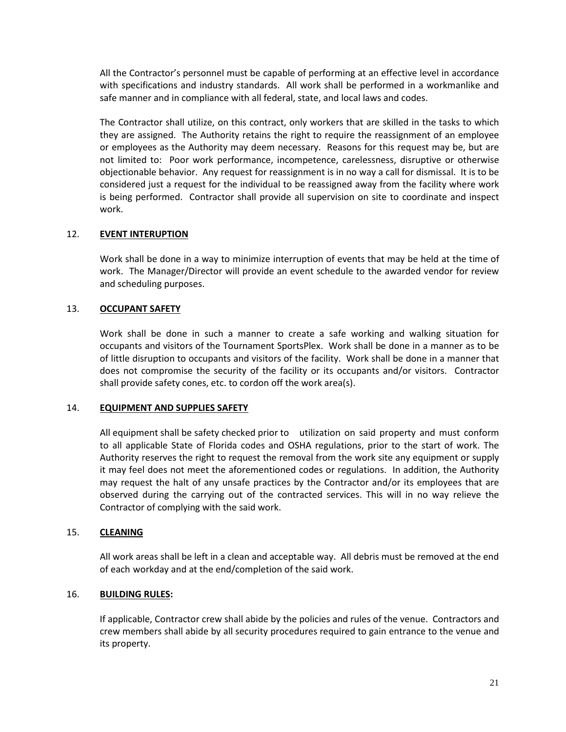All the Contractor's personnel must be capable of performing at an effective level in accordance with specifications and industry standards. All work shall be performed in a workmanlike and safe manner and in compliance with all federal, state, and local laws and codes.

The Contractor shall utilize, on this contract, only workers that are skilled in the tasks to which they are assigned. The Authority retains the right to require the reassignment of an employee or employees as the Authority may deem necessary. Reasons for this request may be, but are not limited to: Poor work performance, incompetence, carelessness, disruptive or otherwise objectionable behavior. Any request for reassignment is in no way a call for dismissal. It is to be considered just a request for the individual to be reassigned away from the facility where work is being performed. Contractor shall provide all supervision on site to coordinate and inspect work.

# 12. **EVENT INTERUPTION**

Work shall be done in a way to minimize interruption of events that may be held at the time of work. The Manager/Director will provide an event schedule to the awarded vendor for review and scheduling purposes.

# 13. **OCCUPANT SAFETY**

Work shall be done in such a manner to create a safe working and walking situation for occupants and visitors of the Tournament SportsPlex. Work shall be done in a manner as to be of little disruption to occupants and visitors of the facility. Work shall be done in a manner that does not compromise the security of the facility or its occupants and/or visitors. Contractor shall provide safety cones, etc. to cordon off the work area(s).

## 14. **EQUIPMENT AND SUPPLIES SAFETY**

All equipment shall be safety checked prior to utilization on said property and must conform to all applicable State of Florida codes and OSHA regulations, prior to the start of work. The Authority reserves the right to request the removal from the work site any equipment or supply it may feel does not meet the aforementioned codes or regulations. In addition, the Authority may request the halt of any unsafe practices by the Contractor and/or its employees that are observed during the carrying out of the contracted services. This will in no way relieve the Contractor of complying with the said work.

## 15. **CLEANING**

All work areas shall be left in a clean and acceptable way. All debris must be removed at the end of each workday and at the end/completion of the said work.

## 16. **BUILDING RULES:**

If applicable, Contractor crew shall abide by the policies and rules of the venue. Contractors and crew members shall abide by all security procedures required to gain entrance to the venue and its property.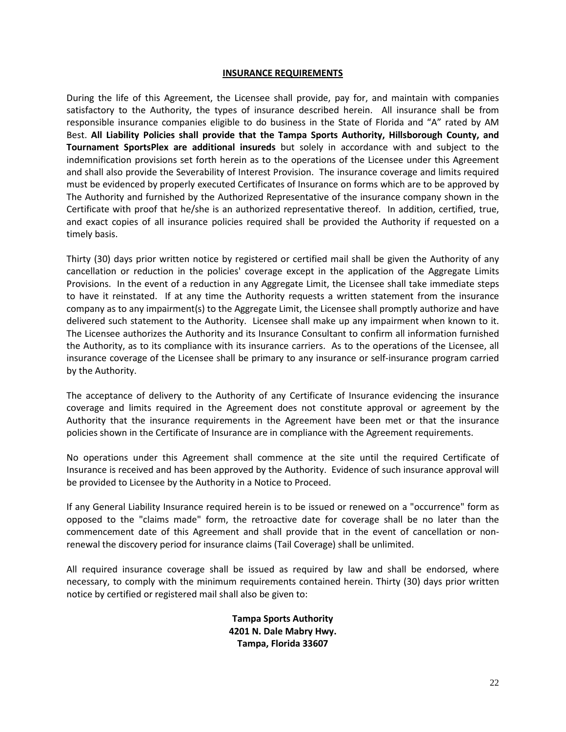#### **INSURANCE REQUIREMENTS**

During the life of this Agreement, the Licensee shall provide, pay for, and maintain with companies satisfactory to the Authority, the types of insurance described herein. All insurance shall be from responsible insurance companies eligible to do business in the State of Florida and "A" rated by AM Best. **All Liability Policies shall provide that the Tampa Sports Authority, Hillsborough County, and Tournament SportsPlex are additional insureds** but solely in accordance with and subject to the indemnification provisions set forth herein as to the operations of the Licensee under this Agreement and shall also provide the Severability of Interest Provision. The insurance coverage and limits required must be evidenced by properly executed Certificates of Insurance on forms which are to be approved by The Authority and furnished by the Authorized Representative of the insurance company shown in the Certificate with proof that he/she is an authorized representative thereof. In addition, certified, true, and exact copies of all insurance policies required shall be provided the Authority if requested on a timely basis.

Thirty (30) days prior written notice by registered or certified mail shall be given the Authority of any cancellation or reduction in the policies' coverage except in the application of the Aggregate Limits Provisions. In the event of a reduction in any Aggregate Limit, the Licensee shall take immediate steps to have it reinstated. If at any time the Authority requests a written statement from the insurance company as to any impairment(s) to the Aggregate Limit, the Licensee shall promptly authorize and have delivered such statement to the Authority. Licensee shall make up any impairment when known to it. The Licensee authorizes the Authority and its Insurance Consultant to confirm all information furnished the Authority, as to its compliance with its insurance carriers. As to the operations of the Licensee, all insurance coverage of the Licensee shall be primary to any insurance or self-insurance program carried by the Authority.

The acceptance of delivery to the Authority of any Certificate of Insurance evidencing the insurance coverage and limits required in the Agreement does not constitute approval or agreement by the Authority that the insurance requirements in the Agreement have been met or that the insurance policies shown in the Certificate of Insurance are in compliance with the Agreement requirements.

No operations under this Agreement shall commence at the site until the required Certificate of Insurance is received and has been approved by the Authority. Evidence of such insurance approval will be provided to Licensee by the Authority in a Notice to Proceed.

If any General Liability Insurance required herein is to be issued or renewed on a "occurrence" form as opposed to the "claims made" form, the retroactive date for coverage shall be no later than the commencement date of this Agreement and shall provide that in the event of cancellation or nonrenewal the discovery period for insurance claims (Tail Coverage) shall be unlimited.

All required insurance coverage shall be issued as required by law and shall be endorsed, where necessary, to comply with the minimum requirements contained herein. Thirty (30) days prior written notice by certified or registered mail shall also be given to:

> **Tampa Sports Authority 4201 N. Dale Mabry Hwy. Tampa, Florida 33607**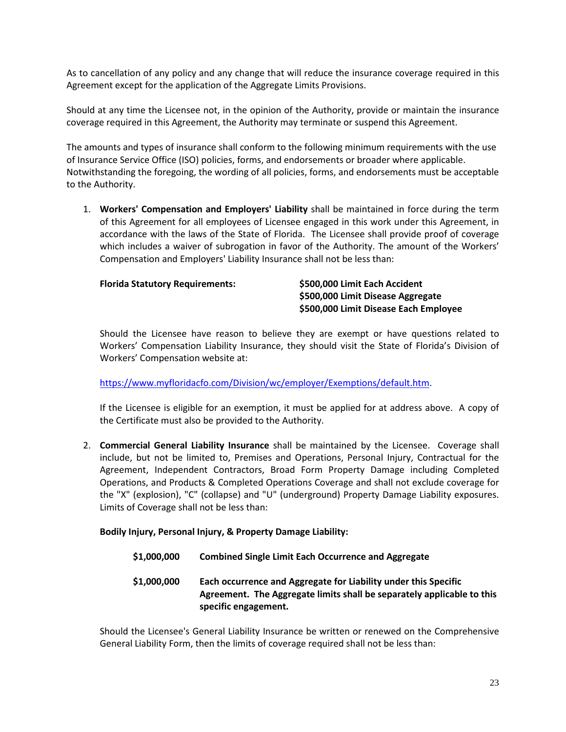As to cancellation of any policy and any change that will reduce the insurance coverage required in this Agreement except for the application of the Aggregate Limits Provisions.

Should at any time the Licensee not, in the opinion of the Authority, provide or maintain the insurance coverage required in this Agreement, the Authority may terminate or suspend this Agreement.

The amounts and types of insurance shall conform to the following minimum requirements with the use of Insurance Service Office (ISO) policies, forms, and endorsements or broader where applicable. Notwithstanding the foregoing, the wording of all policies, forms, and endorsements must be acceptable to the Authority.

1. **Workers' Compensation and Employers' Liability** shall be maintained in force during the term of this Agreement for all employees of Licensee engaged in this work under this Agreement, in accordance with the laws of the State of Florida. The Licensee shall provide proof of coverage which includes a waiver of subrogation in favor of the Authority. The amount of the Workers' Compensation and Employers' Liability Insurance shall not be less than:

## **Florida Statutory Requirements: \$500,000 Limit Each Accident**

# **\$500,000 Limit Disease Aggregate \$500,000 Limit Disease Each Employee**

Should the Licensee have reason to believe they are exempt or have questions related to Workers' Compensation Liability Insurance, they should visit the State of Florida's Division of Workers' Compensation website at:

[https://www.myfloridacfo.com/Division/wc/employer/Exemptions/default.htm.](https://www.myfloridacfo.com/Division/wc/employer/Exemptions/default.htm)

If the Licensee is eligible for an exemption, it must be applied for at address above. A copy of the Certificate must also be provided to the Authority.

2. **Commercial General Liability Insurance** shall be maintained by the Licensee. Coverage shall include, but not be limited to, Premises and Operations, Personal Injury, Contractual for the Agreement, Independent Contractors, Broad Form Property Damage including Completed Operations, and Products & Completed Operations Coverage and shall not exclude coverage for the "X" (explosion), "C" (collapse) and "U" (underground) Property Damage Liability exposures. Limits of Coverage shall not be less than:

## **Bodily Injury, Personal Injury, & Property Damage Liability:**

- **\$1,000,000 Combined Single Limit Each Occurrence and Aggregate**
- **\$1,000,000 Each occurrence and Aggregate for Liability under this Specific Agreement. The Aggregate limits shall be separately applicable to this specific engagement.**

Should the Licensee's General Liability Insurance be written or renewed on the Comprehensive General Liability Form, then the limits of coverage required shall not be less than: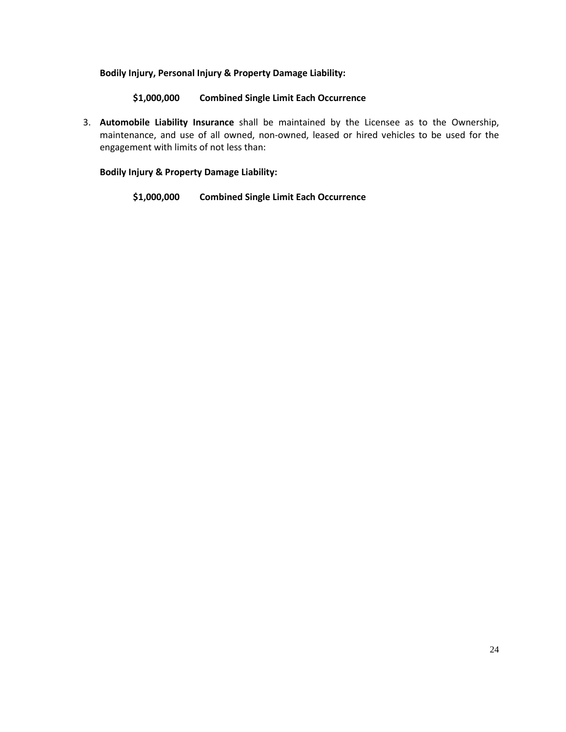**Bodily Injury, Personal Injury & Property Damage Liability:**

## **\$1,000,000 Combined Single Limit Each Occurrence**

3. **Automobile Liability Insurance** shall be maintained by the Licensee as to the Ownership, maintenance, and use of all owned, non-owned, leased or hired vehicles to be used for the engagement with limits of not less than:

#### **Bodily Injury & Property Damage Liability:**

**\$1,000,000 Combined Single Limit Each Occurrence**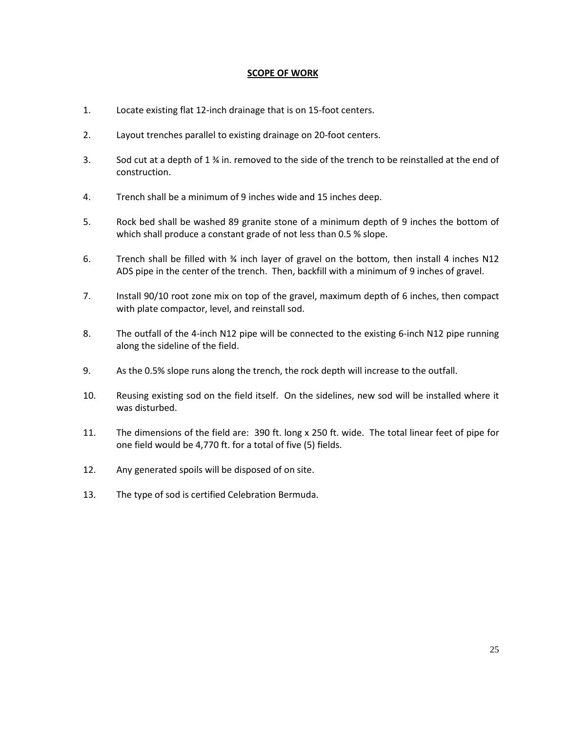#### **SCOPE OF WORK**

- 1. Locate existing flat 12-inch drainage that is on 15-foot centers.
- 2. Layout trenches parallel to existing drainage on 20-foot centers.
- 3. Sod cut at a depth of 1  $\frac{3}{4}$  in. removed to the side of the trench to be reinstalled at the end of construction.
- 4. Trench shall be a minimum of 9 inches wide and 15 inches deep.
- 5. Rock bed shall be washed 89 granite stone of a minimum depth of 9 inches the bottom of which shall produce a constant grade of not less than 0.5 % slope.
- 6. Trench shall be filled with ¾ inch layer of gravel on the bottom, then install 4 inches N12 ADS pipe in the center of the trench. Then, backfill with a minimum of 9 inches of gravel.
- 7. Install 90/10 root zone mix on top of the gravel, maximum depth of 6 inches, then compact with plate compactor, level, and reinstall sod.
- 8. The outfall of the 4-inch N12 pipe will be connected to the existing 6-inch N12 pipe running along the sideline of the field.
- 9. As the 0.5% slope runs along the trench, the rock depth will increase to the outfall.
- 10. Reusing existing sod on the field itself. On the sidelines, new sod will be installed where it was disturbed.
- 11. The dimensions of the field are: 390 ft. long x 250 ft. wide. The total linear feet of pipe for one field would be 4,770 ft. for a total of five (5) fields.
- 12. Any generated spoils will be disposed of on site.
- 13. The type of sod is certified Celebration Bermuda.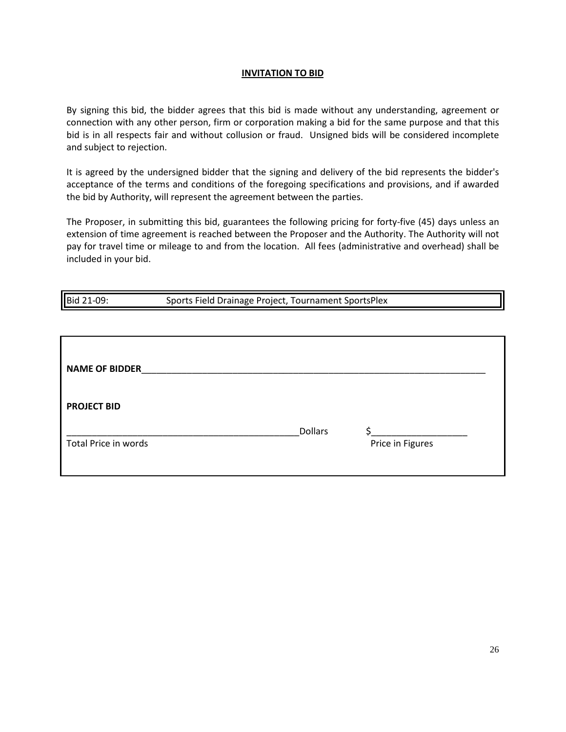#### **INVITATION TO BID**

By signing this bid, the bidder agrees that this bid is made without any understanding, agreement or connection with any other person, firm or corporation making a bid for the same purpose and that this bid is in all respects fair and without collusion or fraud. Unsigned bids will be considered incomplete and subject to rejection.

It is agreed by the undersigned bidder that the signing and delivery of the bid represents the bidder's acceptance of the terms and conditions of the foregoing specifications and provisions, and if awarded the bid by Authority, will represent the agreement between the parties.

The Proposer, in submitting this bid, guarantees the following pricing for forty-five (45) days unless an extension of time agreement is reached between the Proposer and the Authority. The Authority will not pay for travel time or mileage to and from the location. All fees (administrative and overhead) shall be included in your bid.

| <b>NAME OF BIDDER</b> |                |                  |
|-----------------------|----------------|------------------|
|                       |                |                  |
| <b>PROJECT BID</b>    |                |                  |
| Total Price in words  | <b>Dollars</b> | Ś                |
|                       |                | Price in Figures |
|                       |                |                  |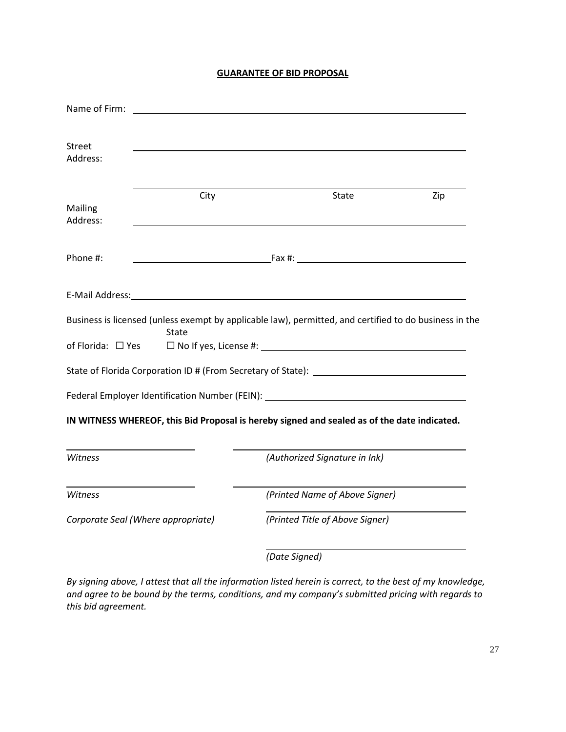#### **GUARANTEE OF BID PROPOSAL**

| Name of Firm:                      |                                                                                                        |
|------------------------------------|--------------------------------------------------------------------------------------------------------|
| <b>Street</b><br>Address:          | <u> 1989 - Johann Stein, mars an deutscher Stein († 1989)</u>                                          |
| City<br><b>Mailing</b><br>Address: | State<br>Zip                                                                                           |
| Phone #:                           |                                                                                                        |
|                                    |                                                                                                        |
| State                              | Business is licensed (unless exempt by applicable law), permitted, and certified to do business in the |
| of Florida: □ Yes                  |                                                                                                        |
|                                    |                                                                                                        |
|                                    | Federal Employer Identification Number (FEIN): _________________________________                       |
|                                    | IN WITNESS WHEREOF, this Bid Proposal is hereby signed and sealed as of the date indicated.            |
| Witness                            | (Authorized Signature in Ink)                                                                          |
| Witness                            | (Printed Name of Above Signer)                                                                         |
| Corporate Seal (Where appropriate) | (Printed Title of Above Signer)                                                                        |
|                                    | (Date Signed)                                                                                          |

*By signing above, I attest that all the information listed herein is correct, to the best of my knowledge, and agree to be bound by the terms, conditions, and my company's submitted pricing with regards to this bid agreement.*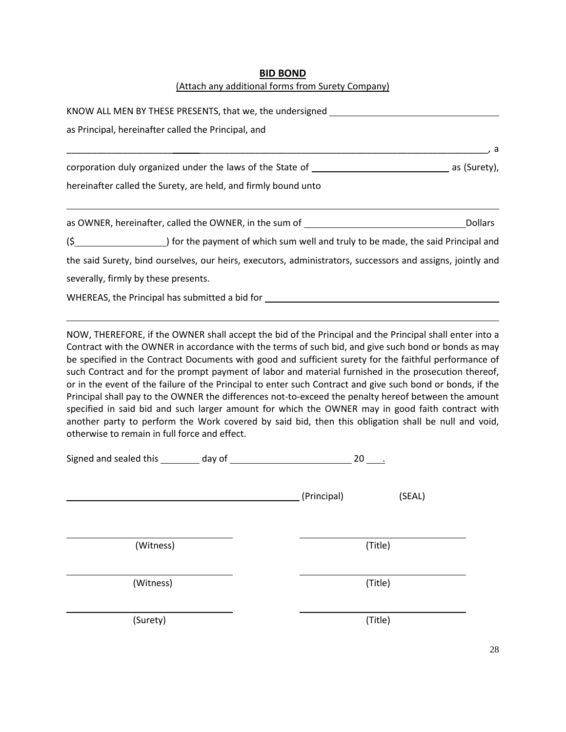# **BID BOND**

# (Attach any additional forms from Surety Company)

| KNOW ALL MEN BY THESE PRESENTS, that we, the undersigned _______________________                                                                                                                                                                                                                                               |         |  |  |  |
|--------------------------------------------------------------------------------------------------------------------------------------------------------------------------------------------------------------------------------------------------------------------------------------------------------------------------------|---------|--|--|--|
| as Principal, hereinafter called the Principal, and                                                                                                                                                                                                                                                                            |         |  |  |  |
|                                                                                                                                                                                                                                                                                                                                | , а     |  |  |  |
|                                                                                                                                                                                                                                                                                                                                |         |  |  |  |
| hereinafter called the Surety, are held, and firmly bound unto                                                                                                                                                                                                                                                                 |         |  |  |  |
| as OWNER, hereinafter, called the OWNER, in the sum of _________________________                                                                                                                                                                                                                                               | Dollars |  |  |  |
|                                                                                                                                                                                                                                                                                                                                |         |  |  |  |
| the said Surety, bind ourselves, our heirs, executors, administrators, successors and assigns, jointly and                                                                                                                                                                                                                     |         |  |  |  |
| severally, firmly by these presents.                                                                                                                                                                                                                                                                                           |         |  |  |  |
| WHEREAS, the Principal has submitted a bid for _________________________________                                                                                                                                                                                                                                               |         |  |  |  |
| NOW, THEREFORE, if the OWNER shall accept the bid of the Principal and the Principal shall enter into a<br>Contract with the OWNER in accordance with the terms of such bid, and give such bond or bonds as may<br>ha ann aite d'in tha Ann ann an Daoinneachd an tha ann an airdteiche ann an Cantha Lathtin na Seannaiche at |         |  |  |  |

be specified in the Contract Documents with good and sufficient surety for the faithful performance of such Contract and for the prompt payment of labor and material furnished in the prosecution thereof, or in the event of the failure of the Principal to enter such Contract and give such bond or bonds, if the Principal shall pay to the OWNER the differences not-to-exceed the penalty hereof between the amount specified in said bid and such larger amount for which the OWNER may in good faith contract with another party to perform the Work covered by said bid, then this obligation shall be null and void, otherwise to remain in full force and effect.

| Signed and sealed this _________ day of ______ | $20$ . |             |        |
|------------------------------------------------|--------|-------------|--------|
|                                                |        | (Principal) | (SEAL) |
| (Witness)                                      |        | (Title)     |        |
| (Witness)                                      |        | (Title)     |        |
| (Surety)                                       |        | (Title)     |        |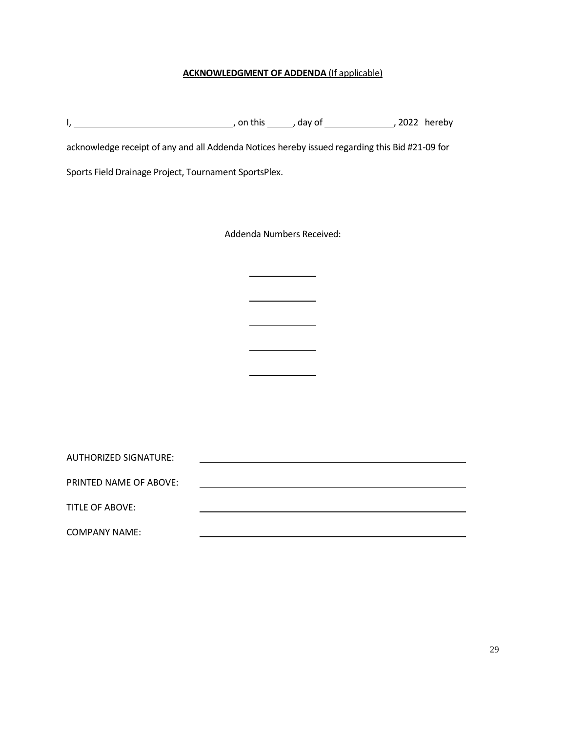# **ACKNOWLEDGMENT OF ADDENDA** (If applicable)

| this<br>nn.<br> | day of | 2022<br>hereby |
|-----------------|--------|----------------|
|-----------------|--------|----------------|

acknowledge receipt of any and all Addenda Notices hereby issued regarding this Bid #21-09 for

Sports Field Drainage Project, Tournament SportsPlex.

Addenda Numbers Received:

 $\overline{a}$ 

| <b>AUTHORIZED SIGNATURE:</b> |  |
|------------------------------|--|
| PRINTED NAME OF ABOVE:       |  |
| TITLE OF ABOVE:              |  |
| <b>COMPANY NAME:</b>         |  |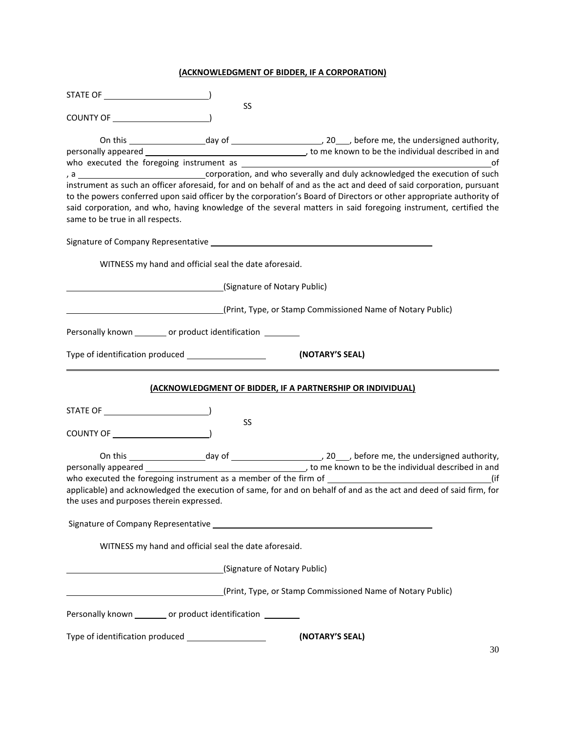# **(ACKNOWLEDGMENT OF BIDDER, IF A CORPORATION)**

|                                                               | <b>SS</b>                                                  |                 |                                                                                                                                                                                                                                                                                                                                                              |
|---------------------------------------------------------------|------------------------------------------------------------|-----------------|--------------------------------------------------------------------------------------------------------------------------------------------------------------------------------------------------------------------------------------------------------------------------------------------------------------------------------------------------------------|
|                                                               |                                                            |                 |                                                                                                                                                                                                                                                                                                                                                              |
|                                                               |                                                            |                 |                                                                                                                                                                                                                                                                                                                                                              |
|                                                               |                                                            |                 |                                                                                                                                                                                                                                                                                                                                                              |
|                                                               |                                                            |                 |                                                                                                                                                                                                                                                                                                                                                              |
| same to be true in all respects.                              |                                                            |                 | instrument as such an officer aforesaid, for and on behalf of and as the act and deed of said corporation, pursuant<br>to the powers conferred upon said officer by the corporation's Board of Directors or other appropriate authority of<br>said corporation, and who, having knowledge of the several matters in said foregoing instrument, certified the |
|                                                               |                                                            |                 |                                                                                                                                                                                                                                                                                                                                                              |
|                                                               | WITNESS my hand and official seal the date aforesaid.      |                 |                                                                                                                                                                                                                                                                                                                                                              |
|                                                               | (Signature of Notary Public)                               |                 |                                                                                                                                                                                                                                                                                                                                                              |
|                                                               |                                                            |                 | (Print, Type, or Stamp Commissioned Name of Notary Public)                                                                                                                                                                                                                                                                                                   |
| Personally known _________ or product identification ______   |                                                            |                 |                                                                                                                                                                                                                                                                                                                                                              |
|                                                               |                                                            | (NOTARY'S SEAL) |                                                                                                                                                                                                                                                                                                                                                              |
|                                                               | (ACKNOWLEDGMENT OF BIDDER, IF A PARTNERSHIP OR INDIVIDUAL) |                 |                                                                                                                                                                                                                                                                                                                                                              |
|                                                               |                                                            |                 |                                                                                                                                                                                                                                                                                                                                                              |
|                                                               | SS                                                         |                 |                                                                                                                                                                                                                                                                                                                                                              |
|                                                               |                                                            |                 |                                                                                                                                                                                                                                                                                                                                                              |
|                                                               |                                                            |                 |                                                                                                                                                                                                                                                                                                                                                              |
|                                                               |                                                            |                 |                                                                                                                                                                                                                                                                                                                                                              |
|                                                               |                                                            |                 |                                                                                                                                                                                                                                                                                                                                                              |
|                                                               |                                                            |                 | applicable) and acknowledged the execution of same, for and on behalf of and as the act and deed of said firm, for                                                                                                                                                                                                                                           |
| the uses and purposes therein expressed.                      |                                                            |                 |                                                                                                                                                                                                                                                                                                                                                              |
|                                                               |                                                            |                 |                                                                                                                                                                                                                                                                                                                                                              |
|                                                               | WITNESS my hand and official seal the date aforesaid.      |                 |                                                                                                                                                                                                                                                                                                                                                              |
|                                                               | (Signature of Notary Public)                               |                 |                                                                                                                                                                                                                                                                                                                                                              |
|                                                               |                                                            |                 | (Print, Type, or Stamp Commissioned Name of Notary Public)                                                                                                                                                                                                                                                                                                   |
| Personally known _________ or product identification ________ |                                                            |                 |                                                                                                                                                                                                                                                                                                                                                              |
|                                                               |                                                            | (NOTARY'S SEAL) |                                                                                                                                                                                                                                                                                                                                                              |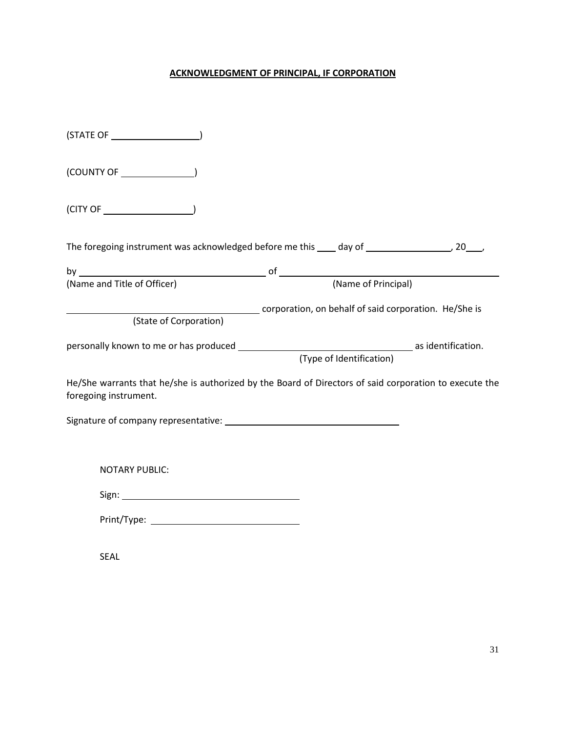# **ACKNOWLEDGMENT OF PRINCIPAL, IF CORPORATION**

| (STATE OF                                                                                                                                                                                                                      |  |
|--------------------------------------------------------------------------------------------------------------------------------------------------------------------------------------------------------------------------------|--|
|                                                                                                                                                                                                                                |  |
|                                                                                                                                                                                                                                |  |
|                                                                                                                                                                                                                                |  |
|                                                                                                                                                                                                                                |  |
|                                                                                                                                                                                                                                |  |
| corporation, on behalf of said corporation. He/She is                                                                                                                                                                          |  |
| (State of Corporation)                                                                                                                                                                                                         |  |
|                                                                                                                                                                                                                                |  |
| (Type of Identification)                                                                                                                                                                                                       |  |
| He/She warrants that he/she is authorized by the Board of Directors of said corporation to execute the<br>foregoing instrument.                                                                                                |  |
|                                                                                                                                                                                                                                |  |
| <b>NOTARY PUBLIC:</b>                                                                                                                                                                                                          |  |
| Sign: North Commission of the Commission of the Commission of the Commission of the Commission of the Commission of the Commission of the Commission of the Commission of the Commission of the Commission of the Commission o |  |
|                                                                                                                                                                                                                                |  |
| <b>SEAL</b>                                                                                                                                                                                                                    |  |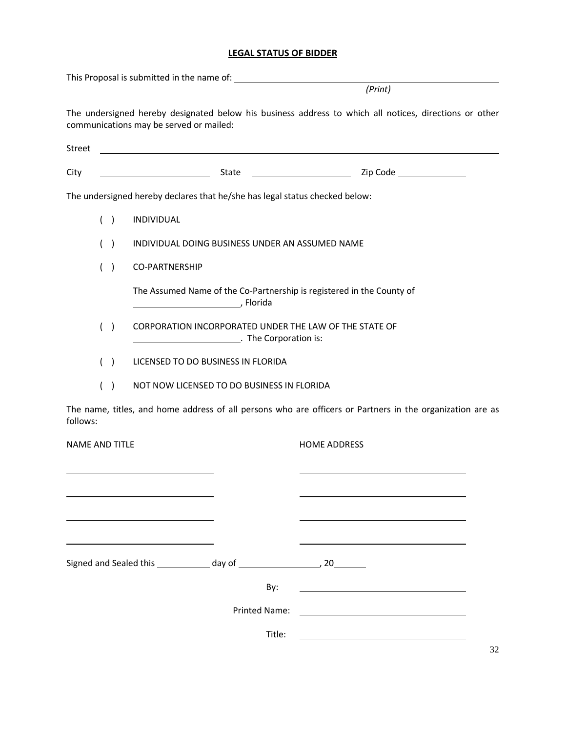# **LEGAL STATUS OF BIDDER**

|                       |     |     |                                                                               |                                                                                                                                                                               | (Print)                                                                                                               |  |  |  |
|-----------------------|-----|-----|-------------------------------------------------------------------------------|-------------------------------------------------------------------------------------------------------------------------------------------------------------------------------|-----------------------------------------------------------------------------------------------------------------------|--|--|--|
|                       |     |     | communications may be served or mailed:                                       |                                                                                                                                                                               | The undersigned hereby designated below his business address to which all notices, directions or other                |  |  |  |
| Street                |     |     |                                                                               |                                                                                                                                                                               | <u> 1999 - Johann John Stone, meilich aus der Stone (1990)</u>                                                        |  |  |  |
| City                  |     |     |                                                                               |                                                                                                                                                                               |                                                                                                                       |  |  |  |
|                       |     |     | The undersigned hereby declares that he/she has legal status checked below:   |                                                                                                                                                                               |                                                                                                                       |  |  |  |
|                       | ( ) |     | <b>INDIVIDUAL</b>                                                             |                                                                                                                                                                               |                                                                                                                       |  |  |  |
|                       | ( ) |     |                                                                               | INDIVIDUAL DOING BUSINESS UNDER AN ASSUMED NAME                                                                                                                               |                                                                                                                       |  |  |  |
|                       |     | ( ) | <b>CO-PARTNERSHIP</b>                                                         |                                                                                                                                                                               |                                                                                                                       |  |  |  |
|                       |     |     |                                                                               | The Assumed Name of the Co-Partnership is registered in the County of<br>Elorida (Florida ) (Florida ) (Florida ) (Florida ) (Florida ) (Florida ) (Florida ) (Florida ) (Flo |                                                                                                                       |  |  |  |
|                       |     | ( ) | CORPORATION INCORPORATED UNDER THE LAW OF THE STATE OF<br>The Corporation is: |                                                                                                                                                                               |                                                                                                                       |  |  |  |
|                       | ( ) |     |                                                                               | LICENSED TO DO BUSINESS IN FLORIDA                                                                                                                                            |                                                                                                                       |  |  |  |
|                       | ( ) |     | NOT NOW LICENSED TO DO BUSINESS IN FLORIDA                                    |                                                                                                                                                                               |                                                                                                                       |  |  |  |
| follows:              |     |     |                                                                               |                                                                                                                                                                               | The name, titles, and home address of all persons who are officers or Partners in the organization are as             |  |  |  |
| <b>NAME AND TITLE</b> |     |     |                                                                               |                                                                                                                                                                               | <b>HOME ADDRESS</b>                                                                                                   |  |  |  |
|                       |     |     |                                                                               |                                                                                                                                                                               |                                                                                                                       |  |  |  |
|                       |     |     |                                                                               |                                                                                                                                                                               |                                                                                                                       |  |  |  |
|                       |     |     |                                                                               |                                                                                                                                                                               |                                                                                                                       |  |  |  |
|                       |     |     |                                                                               |                                                                                                                                                                               |                                                                                                                       |  |  |  |
|                       |     |     |                                                                               | By:                                                                                                                                                                           |                                                                                                                       |  |  |  |
|                       |     |     |                                                                               | <b>Printed Name:</b>                                                                                                                                                          |                                                                                                                       |  |  |  |
|                       |     |     |                                                                               | Title:                                                                                                                                                                        | <u> 1989 - Johann Barbara, martin amerikan basar dan berasal dan berasal dalam basar dalam basar dalam basar dala</u> |  |  |  |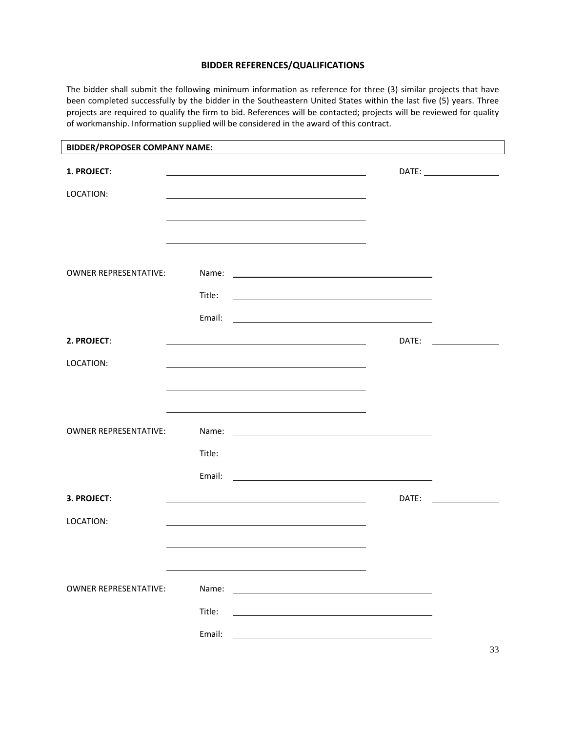# **BIDDER REFERENCES/QUALIFICATIONS**

The bidder shall submit the following minimum information as reference for three (3) similar projects that have been completed successfully by the bidder in the Southeastern United States within the last five (5) years. Three projects are required to qualify the firm to bid. References will be contacted; projects will be reviewed for quality of workmanship. Information supplied will be considered in the award of this contract.

| <b>BIDDER/PROPOSER COMPANY NAME:</b> |                                                                                                                                                                                                                               |                                                                                                                      |  |
|--------------------------------------|-------------------------------------------------------------------------------------------------------------------------------------------------------------------------------------------------------------------------------|----------------------------------------------------------------------------------------------------------------------|--|
| 1. PROJECT:                          |                                                                                                                                                                                                                               |                                                                                                                      |  |
| LOCATION:                            |                                                                                                                                                                                                                               |                                                                                                                      |  |
|                                      |                                                                                                                                                                                                                               |                                                                                                                      |  |
|                                      |                                                                                                                                                                                                                               |                                                                                                                      |  |
| <b>OWNER REPRESENTATIVE:</b>         | Name:                                                                                                                                                                                                                         | <u> Alexandria de la contrada de la contrada de la contrada de la contrada de la contrada de la contrada de la c</u> |  |
|                                      | Title:                                                                                                                                                                                                                        |                                                                                                                      |  |
|                                      | Email:                                                                                                                                                                                                                        | <u> Alexandria de la contrada de la contrada de la contrada de la contrada de la contrada de la contrada de la c</u> |  |
| 2. PROJECT:                          | <u> 1989 - Johann Stein, marwolaethau (b. 1989)</u>                                                                                                                                                                           | DATE:                                                                                                                |  |
| LOCATION:                            |                                                                                                                                                                                                                               |                                                                                                                      |  |
|                                      | <u> 1989 - Johann Stein, marwolaethau (b. 1989)</u>                                                                                                                                                                           |                                                                                                                      |  |
|                                      | the control of the control of the control of the control of the control of the control of the control of the control of the control of the control of the control of the control of the control of the control of the control |                                                                                                                      |  |
| <b>OWNER REPRESENTATIVE:</b>         | Name:<br>Title:                                                                                                                                                                                                               |                                                                                                                      |  |
|                                      | Email:                                                                                                                                                                                                                        | <u> 1989 - Johann Barn, mars eta bat erroman erroman erroman erroman erroman erroman erroman erroman erroman err</u> |  |
| 3. PROJECT:                          | <u> 1989 - Johann Barbara, martin amerikan basar dan berasal dan berasal dalam basar dalam basar dalam basar dala</u>                                                                                                         | DATE:                                                                                                                |  |
| LOCATION:                            |                                                                                                                                                                                                                               |                                                                                                                      |  |
|                                      |                                                                                                                                                                                                                               |                                                                                                                      |  |
|                                      |                                                                                                                                                                                                                               |                                                                                                                      |  |
| <b>OWNER REPRESENTATIVE:</b>         | Name:                                                                                                                                                                                                                         |                                                                                                                      |  |
|                                      | Title:                                                                                                                                                                                                                        |                                                                                                                      |  |
|                                      | Email:                                                                                                                                                                                                                        |                                                                                                                      |  |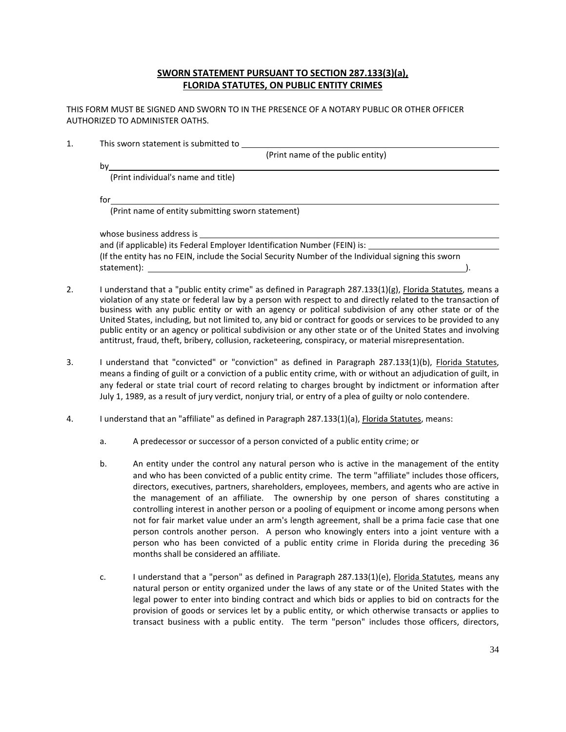## **SWORN STATEMENT PURSUANT TO SECTION 287.133(3)(a), FLORIDA STATUTES, ON PUBLIC ENTITY CRIMES**

THIS FORM MUST BE SIGNED AND SWORN TO IN THE PRESENCE OF A NOTARY PUBLIC OR OTHER OFFICER AUTHORIZED TO ADMINISTER OATHS.

1. This sworn statement is submitted to

(Print name of the public entity)

by

(Print individual's name and title)

for

(Print name of entity submitting sworn statement)

whose business address is and (if applicable) its Federal Employer Identification Number (FEIN) is: (If the entity has no FEIN, include the Social Security Number of the Individual signing this sworn statement): ).

- 2. I understand that a "public entity crime" as defined in Paragraph 287.133(1)(g), Florida Statutes, means a violation of any state or federal law by a person with respect to and directly related to the transaction of business with any public entity or with an agency or political subdivision of any other state or of the United States, including, but not limited to, any bid or contract for goods or services to be provided to any public entity or an agency or political subdivision or any other state or of the United States and involving antitrust, fraud, theft, bribery, collusion, racketeering, conspiracy, or material misrepresentation.
- 3. I understand that "convicted" or "conviction" as defined in Paragraph 287.133(1)(b), Florida Statutes, means a finding of guilt or a conviction of a public entity crime, with or without an adjudication of guilt, in any federal or state trial court of record relating to charges brought by indictment or information after July 1, 1989, as a result of jury verdict, nonjury trial, or entry of a plea of guilty or nolo contendere.
- 4. I understand that an "affiliate" as defined in Paragraph 287.133(1)(a), Florida Statutes, means:
	- a. A predecessor or successor of a person convicted of a public entity crime; or
	- b. An entity under the control any natural person who is active in the management of the entity and who has been convicted of a public entity crime. The term "affiliate" includes those officers, directors, executives, partners, shareholders, employees, members, and agents who are active in the management of an affiliate. The ownership by one person of shares constituting a controlling interest in another person or a pooling of equipment or income among persons when not for fair market value under an arm's length agreement, shall be a prima facie case that one person controls another person. A person who knowingly enters into a joint venture with a person who has been convicted of a public entity crime in Florida during the preceding 36 months shall be considered an affiliate.
	- c. I understand that a "person" as defined in Paragraph 287.133(1)(e), Florida Statutes, means any natural person or entity organized under the laws of any state or of the United States with the legal power to enter into binding contract and which bids or applies to bid on contracts for the provision of goods or services let by a public entity, or which otherwise transacts or applies to transact business with a public entity. The term "person" includes those officers, directors,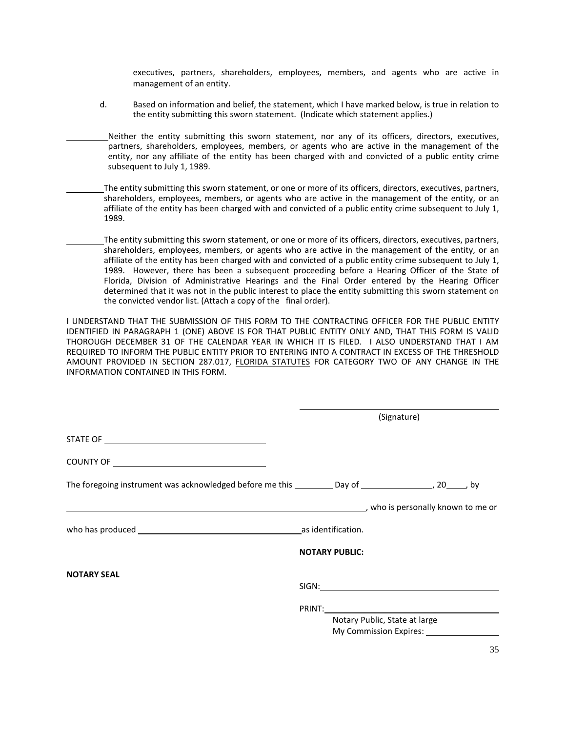executives, partners, shareholders, employees, members, and agents who are active in management of an entity.

- d. Based on information and belief, the statement, which I have marked below, is true in relation to the entity submitting this sworn statement. (Indicate which statement applies.)
- Neither the entity submitting this sworn statement, nor any of its officers, directors, executives, partners, shareholders, employees, members, or agents who are active in the management of the entity, nor any affiliate of the entity has been charged with and convicted of a public entity crime subsequent to July 1, 1989.
- The entity submitting this sworn statement, or one or more of its officers, directors, executives, partners, shareholders, employees, members, or agents who are active in the management of the entity, or an affiliate of the entity has been charged with and convicted of a public entity crime subsequent to July 1, 1989.
- The entity submitting this sworn statement, or one or more of its officers, directors, executives, partners, shareholders, employees, members, or agents who are active in the management of the entity, or an affiliate of the entity has been charged with and convicted of a public entity crime subsequent to July 1, 1989. However, there has been a subsequent proceeding before a Hearing Officer of the State of Florida, Division of Administrative Hearings and the Final Order entered by the Hearing Officer determined that it was not in the public interest to place the entity submitting this sworn statement on the convicted vendor list. (Attach a copy of the final order).

I UNDERSTAND THAT THE SUBMISSION OF THIS FORM TO THE CONTRACTING OFFICER FOR THE PUBLIC ENTITY IDENTIFIED IN PARAGRAPH 1 (ONE) ABOVE IS FOR THAT PUBLIC ENTITY ONLY AND, THAT THIS FORM IS VALID THOROUGH DECEMBER 31 OF THE CALENDAR YEAR IN WHICH IT IS FILED. I ALSO UNDERSTAND THAT I AM REQUIRED TO INFORM THE PUBLIC ENTITY PRIOR TO ENTERING INTO A CONTRACT IN EXCESS OF THE THRESHOLD AMOUNT PROVIDED IN SECTION 287.017, FLORIDA STATUTES FOR CATEGORY TWO OF ANY CHANGE IN THE INFORMATION CONTAINED IN THIS FORM.

|                                                                                                                | (Signature)                                                                                                                                                                                            |
|----------------------------------------------------------------------------------------------------------------|--------------------------------------------------------------------------------------------------------------------------------------------------------------------------------------------------------|
|                                                                                                                |                                                                                                                                                                                                        |
|                                                                                                                |                                                                                                                                                                                                        |
| The foregoing instrument was acknowledged before me this ____________ Day of __________________________, by    |                                                                                                                                                                                                        |
| who is personally known to me or an analysis of the contract of the contract of the contract of the contract o |                                                                                                                                                                                                        |
|                                                                                                                |                                                                                                                                                                                                        |
|                                                                                                                | <b>NOTARY PUBLIC:</b>                                                                                                                                                                                  |
| <b>NOTARY SEAL</b>                                                                                             | SIGN: <b>Andrew Community Community</b> Community Community Community Community Community Community Community Community                                                                                |
|                                                                                                                | PRINT: Annual Communication of the Communication of the Communication of the Communication of the Communication<br>Notary Public, State at large<br>My Commission Expires: 1997 My Commission Expires: |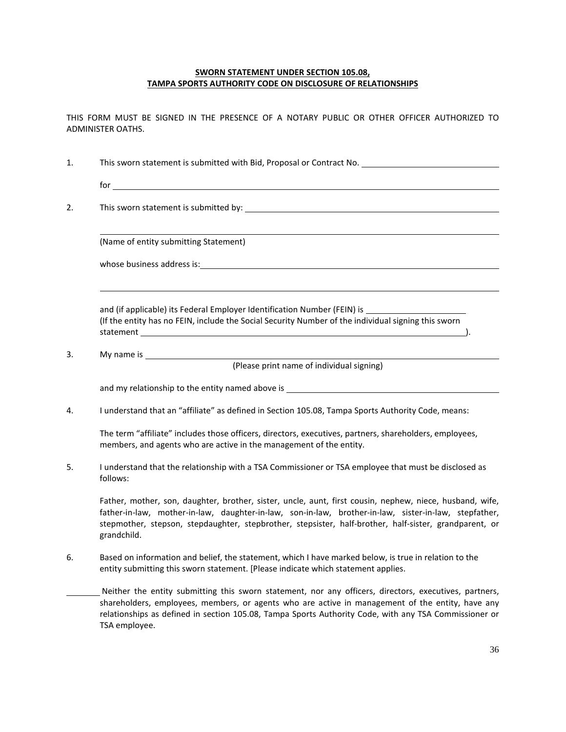#### **SWORN STATEMENT UNDER SECTION 105.08, TAMPA SPORTS AUTHORITY CODE ON DISCLOSURE OF RELATIONSHIPS**

THIS FORM MUST BE SIGNED IN THE PRESENCE OF A NOTARY PUBLIC OR OTHER OFFICER AUTHORIZED TO ADMINISTER OATHS.

| 1. | This sworn statement is submitted with Bid, Proposal or Contract No.                                                                                                                                                                                                                                                                       |  |  |  |  |  |
|----|--------------------------------------------------------------------------------------------------------------------------------------------------------------------------------------------------------------------------------------------------------------------------------------------------------------------------------------------|--|--|--|--|--|
|    | for the contract of the contract of the contract of the contract of the contract of the contract of the contract of the contract of the contract of the contract of the contract of the contract of the contract of the contra                                                                                                             |  |  |  |  |  |
| 2. |                                                                                                                                                                                                                                                                                                                                            |  |  |  |  |  |
|    | (Name of entity submitting Statement)                                                                                                                                                                                                                                                                                                      |  |  |  |  |  |
|    | whose business address is: example and a series of the series of the series of the series of the series of the series of the series of the series of the series of the series of the series of the series of the series of the                                                                                                             |  |  |  |  |  |
|    | and (if applicable) its Federal Employer Identification Number (FEIN) is __________________________<br>(If the entity has no FEIN, include the Social Security Number of the individual signing this sworn                                                                                                                                 |  |  |  |  |  |
| 3. |                                                                                                                                                                                                                                                                                                                                            |  |  |  |  |  |
|    | (Please print name of individual signing)                                                                                                                                                                                                                                                                                                  |  |  |  |  |  |
|    | and my relationship to the entity named above is _______________________________                                                                                                                                                                                                                                                           |  |  |  |  |  |
| 4. | I understand that an "affiliate" as defined in Section 105.08, Tampa Sports Authority Code, means:                                                                                                                                                                                                                                         |  |  |  |  |  |
|    | The term "affiliate" includes those officers, directors, executives, partners, shareholders, employees,<br>members, and agents who are active in the management of the entity.                                                                                                                                                             |  |  |  |  |  |
| 5. | I understand that the relationship with a TSA Commissioner or TSA employee that must be disclosed as<br>follows:                                                                                                                                                                                                                           |  |  |  |  |  |
|    | Father, mother, son, daughter, brother, sister, uncle, aunt, first cousin, nephew, niece, husband, wife,<br>father-in-law, mother-in-law, daughter-in-law, son-in-law, brother-in-law, sister-in-law, stepfather,<br>stepmother, stepson, stepdaughter, stepbrother, stepsister, half-brother, half-sister, grandparent, or<br>grandchild. |  |  |  |  |  |
| 6. | Based on information and belief, the statement, which I have marked below, is true in relation to the<br>entity submitting this sworn statement. [Please indicate which statement applies.                                                                                                                                                 |  |  |  |  |  |
|    | Neither the entity submitting this sworn statement, nor any officers, directors, executives, partners,<br>shareholders, employees, members, or agents who are active in management of the entity, have any<br>relationships as defined in section 105.08, Tampa Sports Authority Code, with any TSA Commissioner or<br>TSA employee.       |  |  |  |  |  |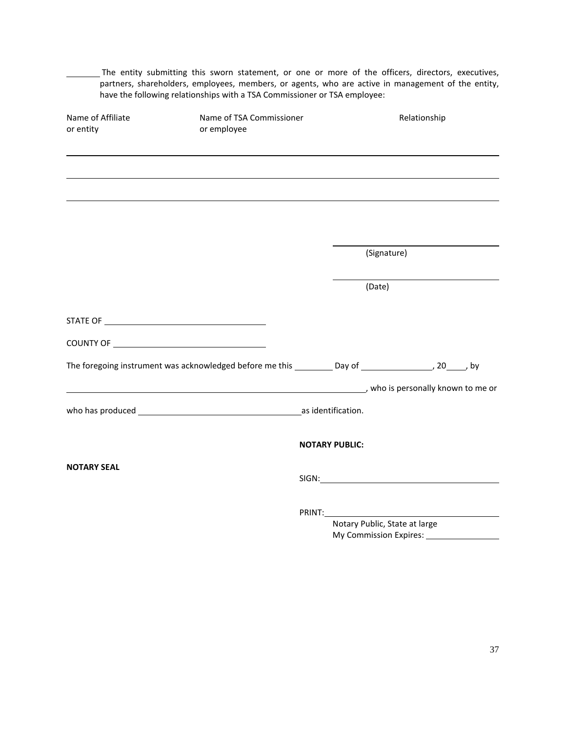The entity submitting this sworn statement, or one or more of the officers, directors, executives, partners, shareholders, employees, members, or agents, who are active in management of the entity, have the following relationships with a TSA Commissioner or TSA employee:

| Name of Affiliate<br>or entity | Name of TSA Commissioner<br>or employee                                                                         |                       |                                                         | Relationship |  |
|--------------------------------|-----------------------------------------------------------------------------------------------------------------|-----------------------|---------------------------------------------------------|--------------|--|
|                                |                                                                                                                 |                       |                                                         |              |  |
|                                | ,我们也不会有什么。""我们的人,我们也不会有什么?""我们的人,我们也不会有什么?""我们的人,我们也不会有什么?""我们的人,我们也不会有什么?""我们的人                                |                       |                                                         |              |  |
|                                |                                                                                                                 |                       |                                                         |              |  |
|                                |                                                                                                                 |                       | (Signature)                                             |              |  |
|                                |                                                                                                                 |                       | (Date)                                                  |              |  |
|                                |                                                                                                                 |                       |                                                         |              |  |
|                                |                                                                                                                 |                       |                                                         |              |  |
|                                | The foregoing instrument was acknowledged before me this _________ Day of ______________________, by            |                       |                                                         |              |  |
|                                | who is personally known to me or an analysis of the state of the state of the state of the state of the state o |                       |                                                         |              |  |
|                                |                                                                                                                 |                       |                                                         |              |  |
|                                |                                                                                                                 | <b>NOTARY PUBLIC:</b> |                                                         |              |  |
| <b>NOTARY SEAL</b>             |                                                                                                                 |                       | SIGN: <b>SIGN: SIGN:</b>                                |              |  |
|                                |                                                                                                                 |                       | <b>PRINT:</b> PRINT:                                    |              |  |
|                                |                                                                                                                 |                       | Notary Public, State at large<br>My Commission Expires: |              |  |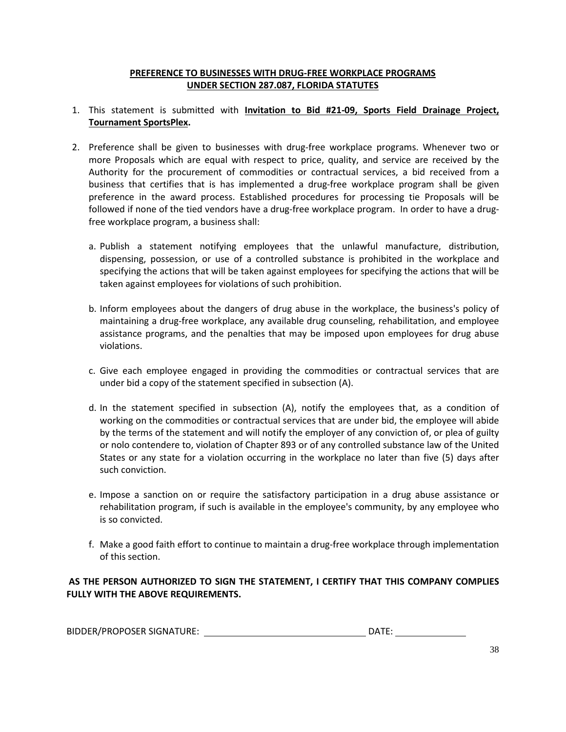# **PREFERENCE TO BUSINESSES WITH DRUG-FREE WORKPLACE PROGRAMS UNDER SECTION 287.087, FLORIDA STATUTES**

- 1. This statement is submitted with **Invitation to Bid #21-09, Sports Field Drainage Project, Tournament SportsPlex.**
- 2. Preference shall be given to businesses with drug-free workplace programs. Whenever two or more Proposals which are equal with respect to price, quality, and service are received by the Authority for the procurement of commodities or contractual services, a bid received from a business that certifies that is has implemented a drug-free workplace program shall be given preference in the award process. Established procedures for processing tie Proposals will be followed if none of the tied vendors have a drug-free workplace program. In order to have a drugfree workplace program, a business shall:
	- a. Publish a statement notifying employees that the unlawful manufacture, distribution, dispensing, possession, or use of a controlled substance is prohibited in the workplace and specifying the actions that will be taken against employees for specifying the actions that will be taken against employees for violations of such prohibition.
	- b. Inform employees about the dangers of drug abuse in the workplace, the business's policy of maintaining a drug-free workplace, any available drug counseling, rehabilitation, and employee assistance programs, and the penalties that may be imposed upon employees for drug abuse violations.
	- c. Give each employee engaged in providing the commodities or contractual services that are under bid a copy of the statement specified in subsection (A).
	- d. In the statement specified in subsection (A), notify the employees that, as a condition of working on the commodities or contractual services that are under bid, the employee will abide by the terms of the statement and will notify the employer of any conviction of, or plea of guilty or nolo contendere to, violation of Chapter 893 or of any controlled substance law of the United States or any state for a violation occurring in the workplace no later than five (5) days after such conviction.
	- e. Impose a sanction on or require the satisfactory participation in a drug abuse assistance or rehabilitation program, if such is available in the employee's community, by any employee who is so convicted.
	- f. Make a good faith effort to continue to maintain a drug-free workplace through implementation of this section.

# **AS THE PERSON AUTHORIZED TO SIGN THE STATEMENT, I CERTIFY THAT THIS COMPANY COMPLIES FULLY WITH THE ABOVE REQUIREMENTS.**

| BIDDER/PROPOSER SIGNATURE: | DATE |
|----------------------------|------|
|                            |      |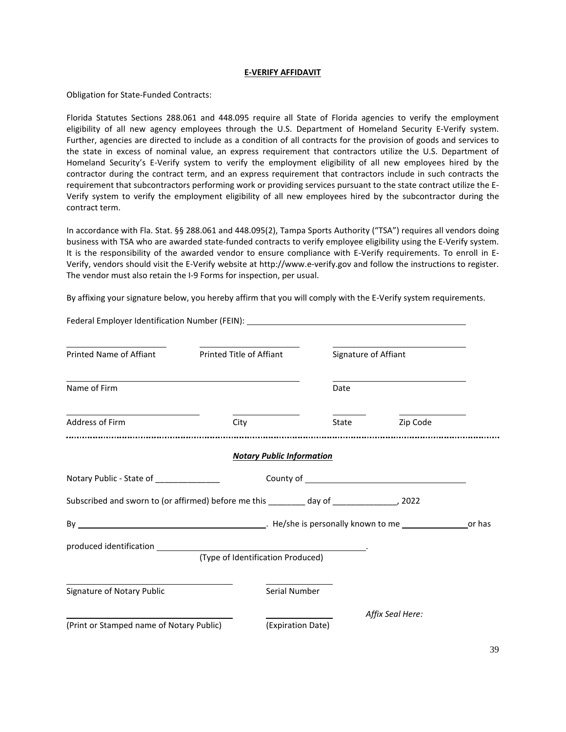#### **E-VERIFY AFFIDAVIT**

Obligation for State-Funded Contracts:

Florida Statutes Sections 288.061 and 448.095 require all State of Florida agencies to verify the employment eligibility of all new agency employees through the U.S. Department of Homeland Security E-Verify system. Further, agencies are directed to include as a condition of all contracts for the provision of goods and services to the state in excess of nominal value, an express requirement that contractors utilize the U.S. Department of Homeland Security's E-Verify system to verify the employment eligibility of all new employees hired by the contractor during the contract term, and an express requirement that contractors include in such contracts the requirement that subcontractors performing work or providing services pursuant to the state contract utilize the E-Verify system to verify the employment eligibility of all new employees hired by the subcontractor during the contract term.

In accordance with Fla. Stat. §§ 288.061 and 448.095(2), Tampa Sports Authority ("TSA") requires all vendors doing business with TSA who are awarded state-funded contracts to verify employee eligibility using the E-Verify system. It is the responsibility of the awarded vendor to ensure compliance with E-Verify requirements. To enroll in E-Verify, vendors should visit the E-Verify website at http://www.e-verify.gov and follow the instructions to register. The vendor must also retain the I-9 Forms for inspection, per usual.

By affixing your signature below, you hereby affirm that you will comply with the E-Verify system requirements.

| Federal Employer Identification Number (FEIN): _________________________________           |                          |                                   |       |                                                                                                                                                                                                                                    |          |  |
|--------------------------------------------------------------------------------------------|--------------------------|-----------------------------------|-------|------------------------------------------------------------------------------------------------------------------------------------------------------------------------------------------------------------------------------------|----------|--|
| Printed Name of Affiant                                                                    | Printed Title of Affiant |                                   |       | Signature of Affiant                                                                                                                                                                                                               |          |  |
| Name of Firm                                                                               |                          |                                   | Date  |                                                                                                                                                                                                                                    |          |  |
| Address of Firm                                                                            | City                     |                                   | State |                                                                                                                                                                                                                                    | Zip Code |  |
|                                                                                            |                          | <b>Notary Public Information</b>  |       |                                                                                                                                                                                                                                    |          |  |
| Notary Public - State of _____________                                                     |                          |                                   |       | County of <u>substantial country</u> of the set of the set of the set of the set of the set of the set of the set of the set of the set of the set of the set of the set of the set of the set of the set of the set of the set of |          |  |
| Subscribed and sworn to (or affirmed) before me this ________ day of _______________, 2022 |                          |                                   |       |                                                                                                                                                                                                                                    |          |  |
|                                                                                            |                          |                                   |       |                                                                                                                                                                                                                                    |          |  |
|                                                                                            |                          | (Type of Identification Produced) |       |                                                                                                                                                                                                                                    |          |  |
|                                                                                            |                          |                                   |       |                                                                                                                                                                                                                                    |          |  |
| Signature of Notary Public                                                                 |                          | Serial Number                     |       |                                                                                                                                                                                                                                    |          |  |
| (Print or Stamped name of Notary Public)                                                   |                          | (Expiration Date)                 |       | Affix Seal Here:                                                                                                                                                                                                                   |          |  |
|                                                                                            |                          |                                   |       |                                                                                                                                                                                                                                    |          |  |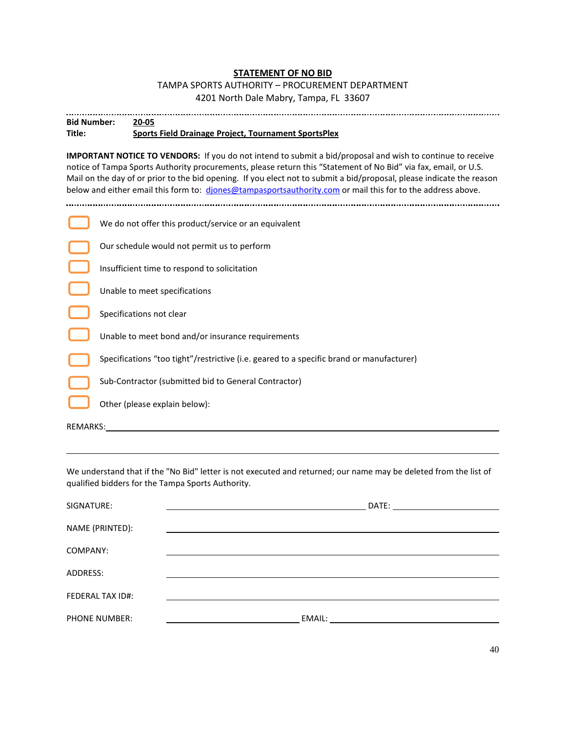#### **STATEMENT OF NO BID**

# TAMPA SPORTS AUTHORITY – PROCUREMENT DEPARTMENT

4201 North Dale Mabry, Tampa, FL 33607

| <b>Bid Number:</b> | 20-05                                                       |
|--------------------|-------------------------------------------------------------|
| Title:             | <b>Sports Field Drainage Project, Tournament SportsPlex</b> |

**IMPORTANT NOTICE TO VENDORS:** If you do not intend to submit a bid/proposal and wish to continue to receive notice of Tampa Sports Authority procurements, please return this "Statement of No Bid" via fax, email, or U.S. Mail on the day of or prior to the bid opening. If you elect not to submit a bid/proposal, please indicate the reason below and either email this form to: [djones@tampasportsauthority.com](mailto:djones@tampasportsauthority.com) or mail this for to the address above.

|                 | We do not offer this product/service or an equivalent                                    |
|-----------------|------------------------------------------------------------------------------------------|
|                 | Our schedule would not permit us to perform                                              |
|                 | Insufficient time to respond to solicitation                                             |
|                 | Unable to meet specifications                                                            |
|                 | Specifications not clear                                                                 |
|                 | Unable to meet bond and/or insurance requirements                                        |
|                 | Specifications "too tight"/restrictive (i.e. geared to a specific brand or manufacturer) |
|                 | Sub-Contractor (submitted bid to General Contractor)                                     |
|                 | Other (please explain below):                                                            |
| <b>REMARKS:</b> |                                                                                          |
|                 |                                                                                          |

We understand that if the "No Bid" letter is not executed and returned; our name may be deleted from the list of qualified bidders for the Tampa Sports Authority.

| SIGNATURE:              |  |
|-------------------------|--|
| NAME (PRINTED):         |  |
| COMPANY:                |  |
| ADDRESS:                |  |
| <b>FEDERAL TAX ID#:</b> |  |
|                         |  |
| <b>PHONE NUMBER:</b>    |  |